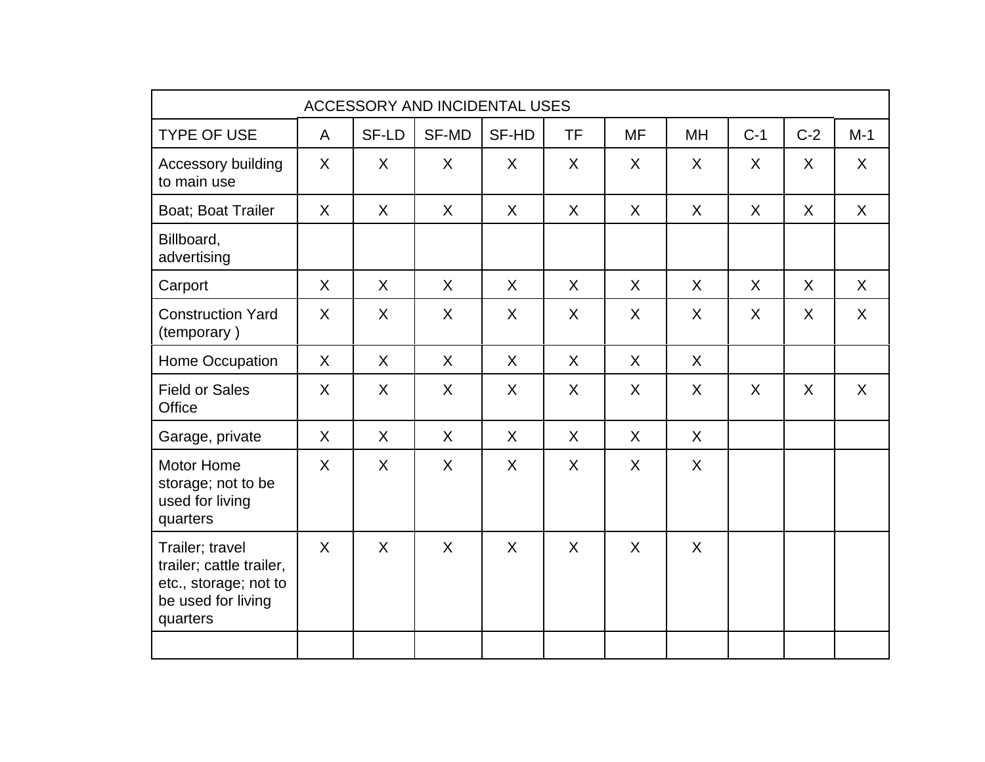|                                                                                                        |         |         | ACCESSORY AND INCIDENTAL USES |         |           |           |           |         |         |         |
|--------------------------------------------------------------------------------------------------------|---------|---------|-------------------------------|---------|-----------|-----------|-----------|---------|---------|---------|
| <b>TYPE OF USE</b>                                                                                     | A       | SF-LD   | SF-MD                         | SF-HD   | <b>TF</b> | <b>MF</b> | <b>MH</b> | $C-1$   | $C-2$   | $M-1$   |
| Accessory building<br>to main use                                                                      | $\sf X$ | $\sf X$ | $\sf X$                       | $\sf X$ | $\sf X$   | $\sf X$   | $\sf X$   | X       | $\sf X$ | $\sf X$ |
| Boat; Boat Trailer                                                                                     | $\sf X$ | X       | X                             | X       | $\sf X$   | $\sf X$   | X         | X       | X       | $\sf X$ |
| Billboard,<br>advertising                                                                              |         |         |                               |         |           |           |           |         |         |         |
| Carport                                                                                                | $\sf X$ | $\sf X$ | $\sf X$                       | $\sf X$ | $\sf X$   | $\sf X$   | $\sf X$   | $\sf X$ | X       | $\sf X$ |
| <b>Construction Yard</b><br>(temporary)                                                                | X       | X       | X                             | $\sf X$ | $\chi$    | X         | $\sf X$   | $\sf X$ | X       | $\chi$  |
| Home Occupation                                                                                        | X       | X       | X                             | $\sf X$ | $\sf X$   | $\sf X$   | $\sf X$   |         |         |         |
| <b>Field or Sales</b><br><b>Office</b>                                                                 | X       | X       | X                             | X       | X         | X         | X         | X       | X       | X       |
| Garage, private                                                                                        | X       | X       | X                             | X       | X         | X         | X         |         |         |         |
| <b>Motor Home</b><br>storage; not to be<br>used for living<br>quarters                                 | X       | X       | X                             | X       | X         | X         | X         |         |         |         |
| Trailer; travel<br>trailer; cattle trailer,<br>etc., storage; not to<br>be used for living<br>quarters | $\sf X$ | X       | X                             | X       | $\sf X$   | X         | X         |         |         |         |
|                                                                                                        |         |         |                               |         |           |           |           |         |         |         |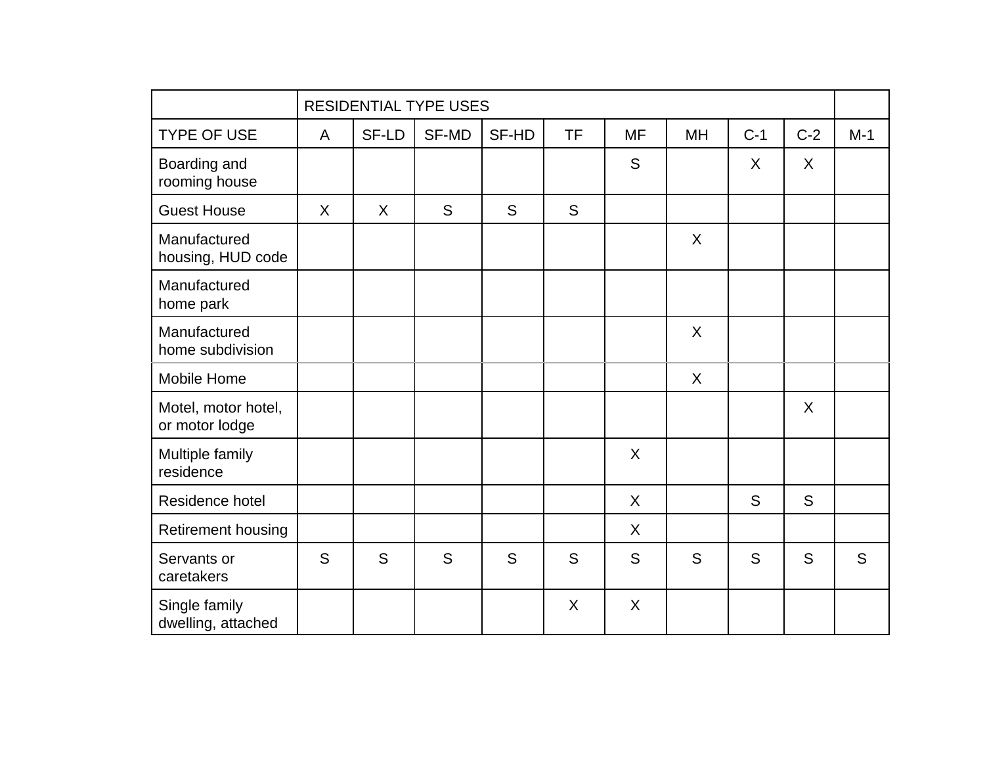|                                       |              |         | <b>RESIDENTIAL TYPE USES</b> |       |           |           |           |       |       |       |
|---------------------------------------|--------------|---------|------------------------------|-------|-----------|-----------|-----------|-------|-------|-------|
| <b>TYPE OF USE</b>                    | $\mathsf{A}$ | SF-LD   | SF-MD                        | SF-HD | <b>TF</b> | <b>MF</b> | <b>MH</b> | $C-1$ | $C-2$ | $M-1$ |
| Boarding and<br>rooming house         |              |         |                              |       |           | S         |           | X     | X     |       |
| <b>Guest House</b>                    | $\sf X$      | $\sf X$ | S                            | S     | S         |           |           |       |       |       |
| Manufactured<br>housing, HUD code     |              |         |                              |       |           |           | $\sf X$   |       |       |       |
| Manufactured<br>home park             |              |         |                              |       |           |           |           |       |       |       |
| Manufactured<br>home subdivision      |              |         |                              |       |           |           | $\sf X$   |       |       |       |
| Mobile Home                           |              |         |                              |       |           |           | $\sf X$   |       |       |       |
| Motel, motor hotel,<br>or motor lodge |              |         |                              |       |           |           |           |       | X     |       |
| Multiple family<br>residence          |              |         |                              |       |           | $\sf X$   |           |       |       |       |
| Residence hotel                       |              |         |                              |       |           | X         |           | S     | S     |       |
| Retirement housing                    |              |         |                              |       |           | $\sf X$   |           |       |       |       |
| Servants or<br>caretakers             | S            | S       | S                            | S     | S         | S         | S         | S     | S     | S     |
| Single family<br>dwelling, attached   |              |         |                              |       | X         | X         |           |       |       |       |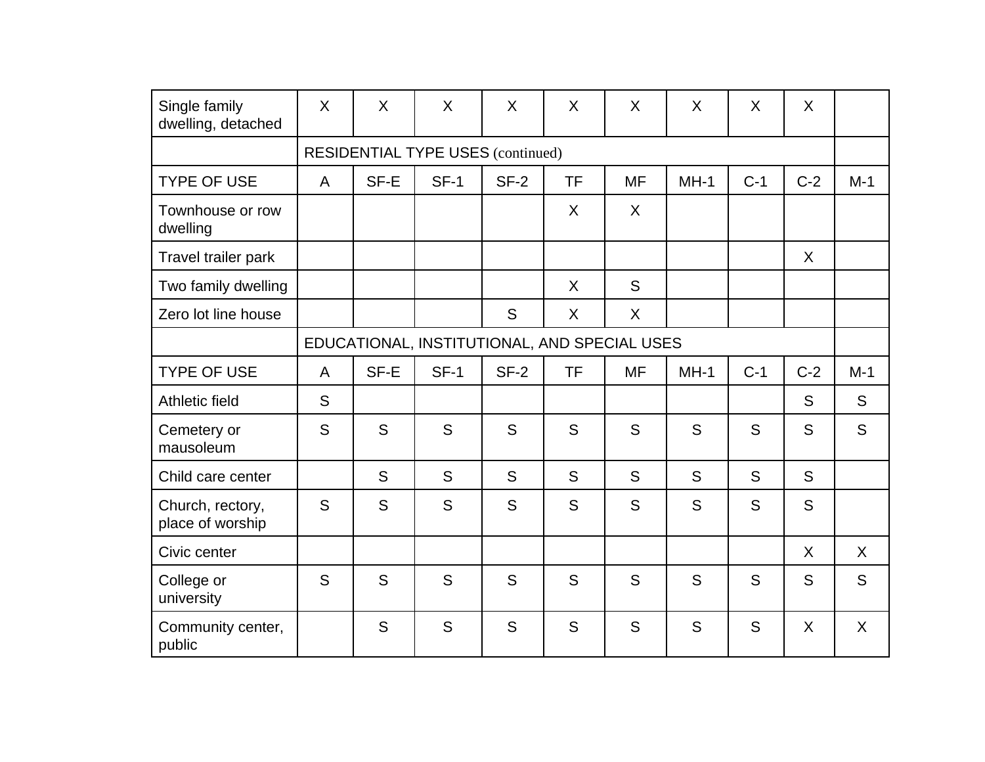| Single family<br>dwelling, detached  | X              | X    | X                                            | X      | X         | $\sf X$   | X      | X     | X     |              |
|--------------------------------------|----------------|------|----------------------------------------------|--------|-----------|-----------|--------|-------|-------|--------------|
|                                      |                |      | <b>RESIDENTIAL TYPE USES (continued)</b>     |        |           |           |        |       |       |              |
| <b>TYPE OF USE</b>                   | $\mathsf{A}$   | SF-E | $SF-1$                                       | $SF-2$ | <b>TF</b> | <b>MF</b> | $MH-1$ | $C-1$ | $C-2$ | $M-1$        |
| Townhouse or row<br>dwelling         |                |      |                                              |        | $\sf X$   | $\sf X$   |        |       |       |              |
| Travel trailer park                  |                |      |                                              |        |           |           |        |       | X     |              |
| Two family dwelling                  |                |      |                                              |        | X         | S         |        |       |       |              |
| Zero lot line house                  |                |      |                                              | S      | X         | $\sf X$   |        |       |       |              |
|                                      |                |      | EDUCATIONAL, INSTITUTIONAL, AND SPECIAL USES |        |           |           |        |       |       |              |
| <b>TYPE OF USE</b>                   | $\overline{A}$ | SF-E | $SF-1$                                       | $SF-2$ | <b>TF</b> | <b>MF</b> | $MH-1$ | $C-1$ | $C-2$ | $M-1$        |
| Athletic field                       | S              |      |                                              |        |           |           |        |       | S     | S            |
| Cemetery or<br>mausoleum             | S              | S    | S                                            | S      | S         | S         | S      | S     | S     | S            |
| Child care center                    |                | S    | S                                            | S      | S         | S         | S      | S     | S     |              |
| Church, rectory,<br>place of worship | S              | S    | S                                            | S      | S         | S         | S      | S     | S     |              |
| Civic center                         |                |      |                                              |        |           |           |        |       | X     | $\sf X$      |
| College or<br>university             | S              | S    | S                                            | S      | S         | S         | S      | S     | S     | S            |
| Community center,<br>public          |                | S    | S                                            | S      | S         | S         | S      | S     | X     | $\mathsf{X}$ |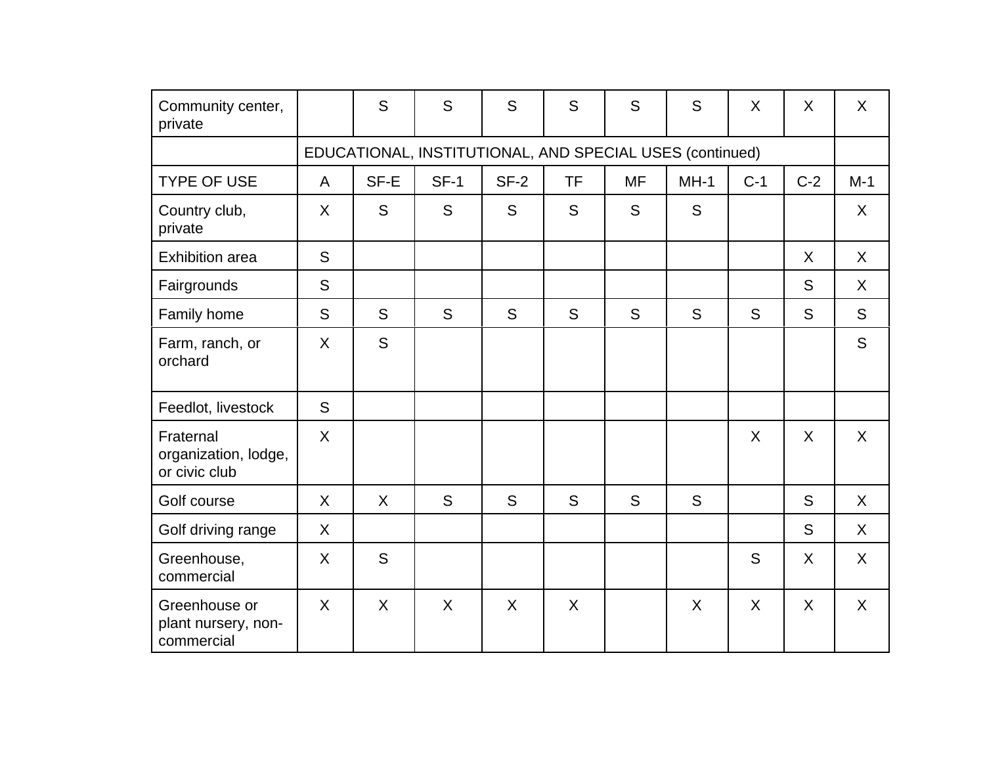| Community center,<br>private                       |         | S    | S                                                        | S      | S  | S  | S      | X     | X     | $\sf X$ |
|----------------------------------------------------|---------|------|----------------------------------------------------------|--------|----|----|--------|-------|-------|---------|
|                                                    |         |      | EDUCATIONAL, INSTITUTIONAL, AND SPECIAL USES (continued) |        |    |    |        |       |       |         |
| <b>TYPE OF USE</b>                                 | A       | SF-E | $SF-1$                                                   | $SF-2$ | TF | MF | $MH-1$ | $C-1$ | $C-2$ | $M-1$   |
| Country club,<br>private                           | $\sf X$ | S    | S                                                        | S      | S  | S  | S      |       |       | X       |
| <b>Exhibition area</b>                             | S       |      |                                                          |        |    |    |        |       | X     | X       |
| Fairgrounds                                        | S       |      |                                                          |        |    |    |        |       | S     | X       |
| Family home                                        | S       | S    | S                                                        | S      | S  | S  | S      | S     | S     | S       |
| Farm, ranch, or<br>orchard                         | $\sf X$ | S    |                                                          |        |    |    |        |       |       | S       |
| Feedlot, livestock                                 | S       |      |                                                          |        |    |    |        |       |       |         |
| Fraternal<br>organization, lodge,<br>or civic club | $\sf X$ |      |                                                          |        |    |    |        | X     | X     | X       |
| Golf course                                        | X       | X    | S                                                        | S      | S  | S  | S      |       | S     | $\sf X$ |
| Golf driving range                                 | X       |      |                                                          |        |    |    |        |       | S     | X.      |
| Greenhouse,<br>commercial                          | X       | S    |                                                          |        |    |    |        | S     | X     | X       |
| Greenhouse or<br>plant nursery, non-<br>commercial | X       | X    | X                                                        | X      | X  |    | X      | X     | X     | X       |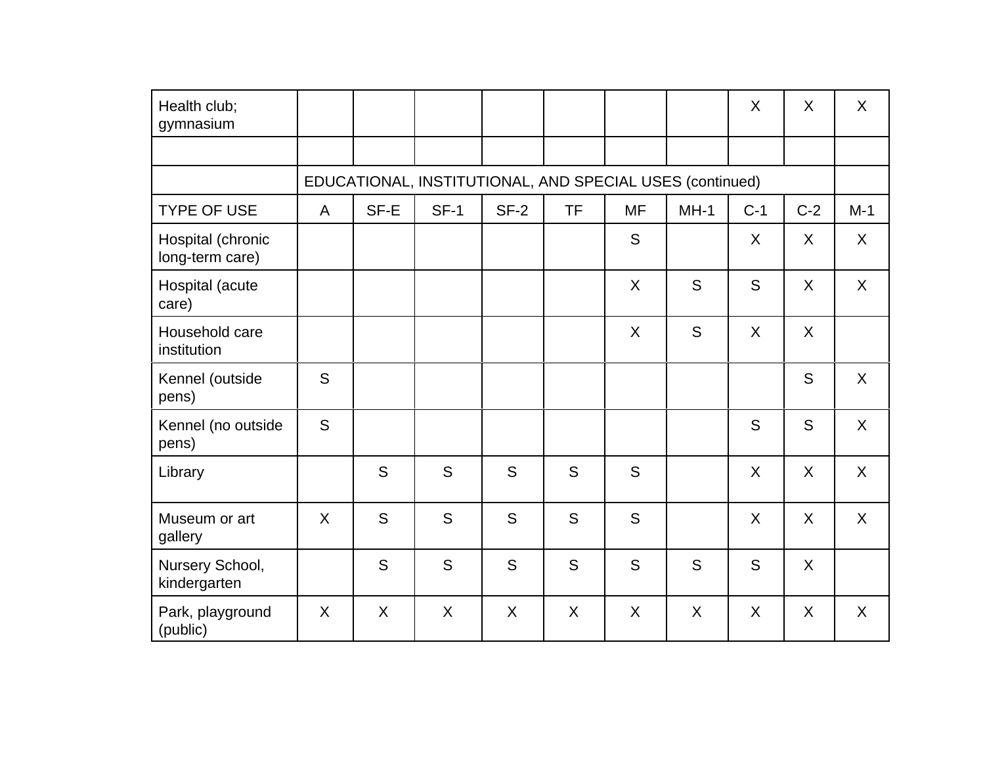| Health club;<br>gymnasium            |         |         |                                                          |        |           |           |         | X       | X       | X       |
|--------------------------------------|---------|---------|----------------------------------------------------------|--------|-----------|-----------|---------|---------|---------|---------|
|                                      |         |         |                                                          |        |           |           |         |         |         |         |
|                                      |         |         | EDUCATIONAL, INSTITUTIONAL, AND SPECIAL USES (continued) |        |           |           |         |         |         |         |
| <b>TYPE OF USE</b>                   | A       | SF-E    | $SF-1$                                                   | $SF-2$ | <b>TF</b> | <b>MF</b> | $MH-1$  | $C-1$   | $C-2$   | $M-1$   |
| Hospital (chronic<br>long-term care) |         |         |                                                          |        |           | S         |         | X       | X       | $\sf X$ |
| Hospital (acute<br>care)             |         |         |                                                          |        |           | $\sf X$   | S       | S       | X       | $\sf X$ |
| Household care<br>institution        |         |         |                                                          |        |           | $\sf X$   | S       | X       | X       |         |
| Kennel (outside<br>pens)             | S       |         |                                                          |        |           |           |         |         | S       | $\sf X$ |
| Kennel (no outside<br>pens)          | S       |         |                                                          |        |           |           |         | S       | S       | $\sf X$ |
| Library                              |         | S       | S                                                        | S      | S         | S         |         | $\sf X$ | $\sf X$ | $\sf X$ |
| Museum or art<br>gallery             | $\sf X$ | S       | S                                                        | S      | S         | S         |         | $\sf X$ | X       | $\sf X$ |
| Nursery School,<br>kindergarten      |         | S       | S                                                        | S      | S         | S         | S       | S       | X       |         |
| Park, playground<br>(public)         | $\sf X$ | $\sf X$ | X                                                        | X      | X         | $\sf X$   | $\sf X$ | X       | X       | X       |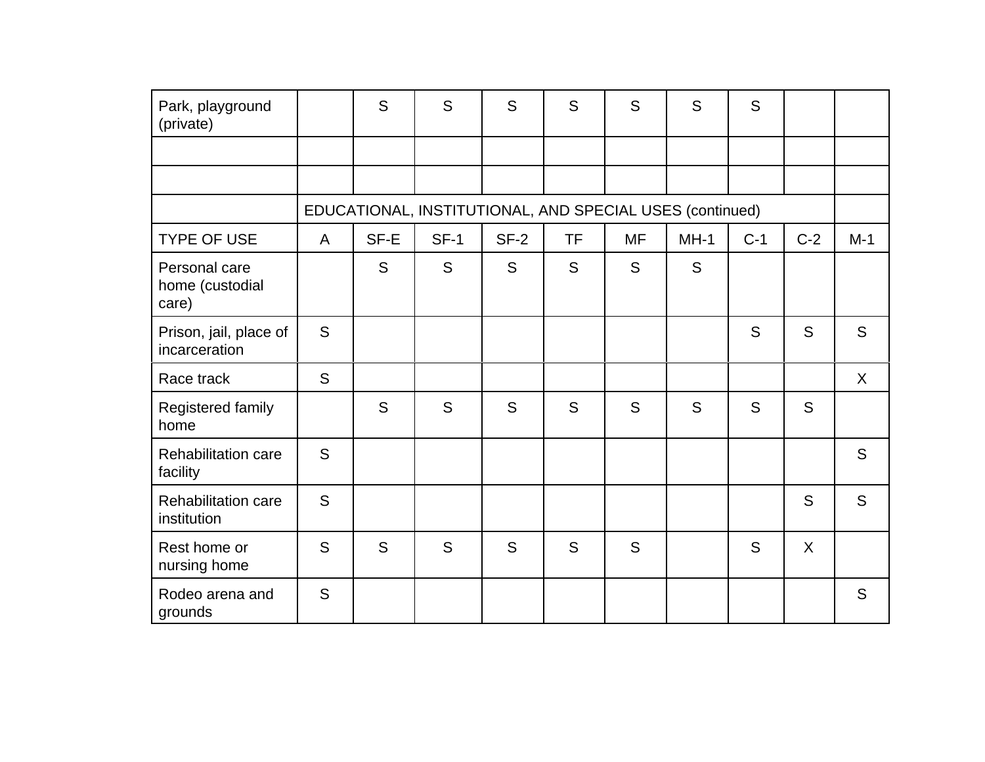| Park, playground<br>(private)             |              | S    | S                                                        | S      | S         | S         | S      | S     |       |        |
|-------------------------------------------|--------------|------|----------------------------------------------------------|--------|-----------|-----------|--------|-------|-------|--------|
|                                           |              |      |                                                          |        |           |           |        |       |       |        |
|                                           |              |      |                                                          |        |           |           |        |       |       |        |
|                                           |              |      | EDUCATIONAL, INSTITUTIONAL, AND SPECIAL USES (continued) |        |           |           |        |       |       |        |
| <b>TYPE OF USE</b>                        | $\mathsf{A}$ | SF-E | $SF-1$                                                   | $SF-2$ | <b>TF</b> | <b>MF</b> | $MH-1$ | $C-1$ | $C-2$ | $M-1$  |
| Personal care<br>home (custodial<br>care) |              | S    | S                                                        | S      | S         | S         | S      |       |       |        |
| Prison, jail, place of<br>incarceration   | S            |      |                                                          |        |           |           |        | S     | S     | S      |
| Race track                                | S            |      |                                                          |        |           |           |        |       |       | $\chi$ |
| Registered family<br>home                 |              | S    | S                                                        | S      | S         | S         | S      | S     | S     |        |
| <b>Rehabilitation care</b><br>facility    | S            |      |                                                          |        |           |           |        |       |       | S      |
| <b>Rehabilitation care</b><br>institution | S            |      |                                                          |        |           |           |        |       | S     | S      |
| Rest home or<br>nursing home              | S            | S    | S                                                        | S      | S         | S         |        | S     | X     |        |
| Rodeo arena and<br>grounds                | S            |      |                                                          |        |           |           |        |       |       | S      |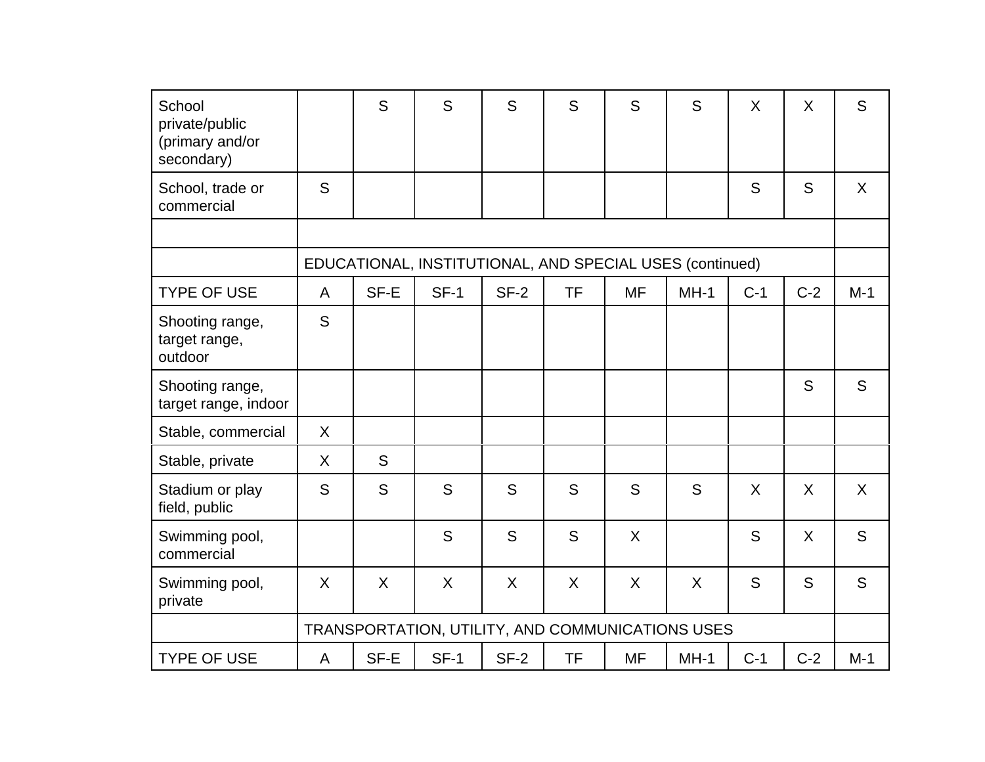| School<br>private/public<br>(primary and/or<br>secondary) |         | S       | S                                                        | S      | S         | S         | S       | X     | X     | S     |
|-----------------------------------------------------------|---------|---------|----------------------------------------------------------|--------|-----------|-----------|---------|-------|-------|-------|
| School, trade or<br>commercial                            | S       |         |                                                          |        |           |           |         | S     | S     | X     |
|                                                           |         |         |                                                          |        |           |           |         |       |       |       |
|                                                           |         |         | EDUCATIONAL, INSTITUTIONAL, AND SPECIAL USES (continued) |        |           |           |         |       |       |       |
| <b>TYPE OF USE</b>                                        | A       | SF-E    | $SF-1$                                                   | $SF-2$ | <b>TF</b> | <b>MF</b> | $MH-1$  | $C-1$ | $C-2$ | $M-1$ |
| Shooting range,<br>target range,<br>outdoor               | S       |         |                                                          |        |           |           |         |       |       |       |
| Shooting range,<br>target range, indoor                   |         |         |                                                          |        |           |           |         |       | S     | S     |
| Stable, commercial                                        | X       |         |                                                          |        |           |           |         |       |       |       |
| Stable, private                                           | $\sf X$ | S       |                                                          |        |           |           |         |       |       |       |
| Stadium or play<br>field, public                          | S       | S       | S                                                        | S      | S         | S         | S       | X     | X     | X     |
| Swimming pool,<br>commercial                              |         |         | S                                                        | S      | S         | $\sf X$   |         | S     | X     | S     |
| Swimming pool,<br>private                                 | X       | $\sf X$ | $\sf X$                                                  | X      | $\sf X$   | $\sf X$   | $\sf X$ | S     | S     | S     |
|                                                           |         |         | TRANSPORTATION, UTILITY, AND COMMUNICATIONS USES         |        |           |           |         |       |       |       |
| <b>TYPE OF USE</b>                                        | A       | SF-E    | $SF-1$                                                   | $SF-2$ | <b>TF</b> | <b>MF</b> | $MH-1$  | $C-1$ | $C-2$ | $M-1$ |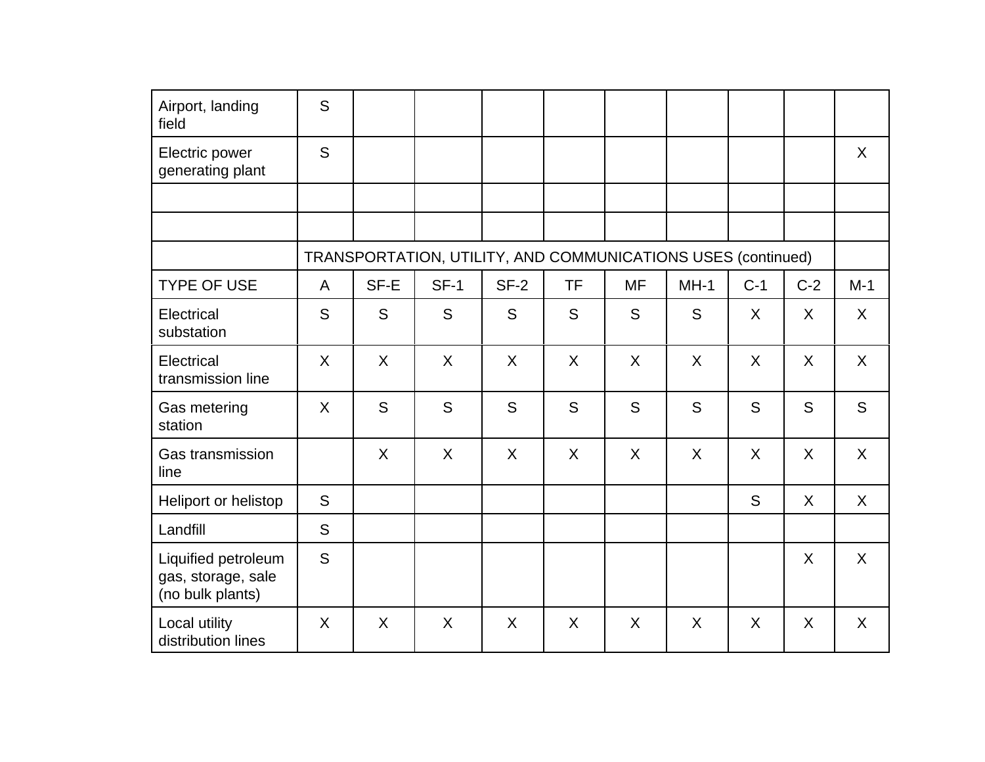| Airport, landing                                              | S       |         |                                                              |        |           |           |         |         |       |       |
|---------------------------------------------------------------|---------|---------|--------------------------------------------------------------|--------|-----------|-----------|---------|---------|-------|-------|
| field                                                         |         |         |                                                              |        |           |           |         |         |       |       |
| Electric power<br>generating plant                            | S       |         |                                                              |        |           |           |         |         |       | X     |
|                                                               |         |         |                                                              |        |           |           |         |         |       |       |
|                                                               |         |         |                                                              |        |           |           |         |         |       |       |
|                                                               |         |         | TRANSPORTATION, UTILITY, AND COMMUNICATIONS USES (continued) |        |           |           |         |         |       |       |
| <b>TYPE OF USE</b>                                            | A       | SF-E    | $SF-1$                                                       | $SF-2$ | <b>TF</b> | <b>MF</b> | $MH-1$  | $C-1$   | $C-2$ | $M-1$ |
| Electrical<br>substation                                      | S       | S       | S                                                            | S      | S         | S         | S       | $\sf X$ | X     | X     |
| Electrical<br>transmission line                               | $\sf X$ | $\sf X$ | $\sf X$                                                      | X      | $\sf X$   | $\sf X$   | $\sf X$ | X       | X     | X     |
| Gas metering<br>station                                       | X       | S       | S                                                            | S      | S         | S         | S       | S       | S     | S     |
| Gas transmission<br>line                                      |         | X       | X                                                            | X      | X         | X         | $\sf X$ | X       | X     | X     |
| Heliport or helistop                                          | S       |         |                                                              |        |           |           |         | S       | X     | X     |
| Landfill                                                      | S       |         |                                                              |        |           |           |         |         |       |       |
| Liquified petroleum<br>gas, storage, sale<br>(no bulk plants) | S       |         |                                                              |        |           |           |         |         | X     | X     |
| Local utility<br>distribution lines                           | X       | X       | X                                                            | X      | X         | $\sf X$   | X       | X       | X     | X     |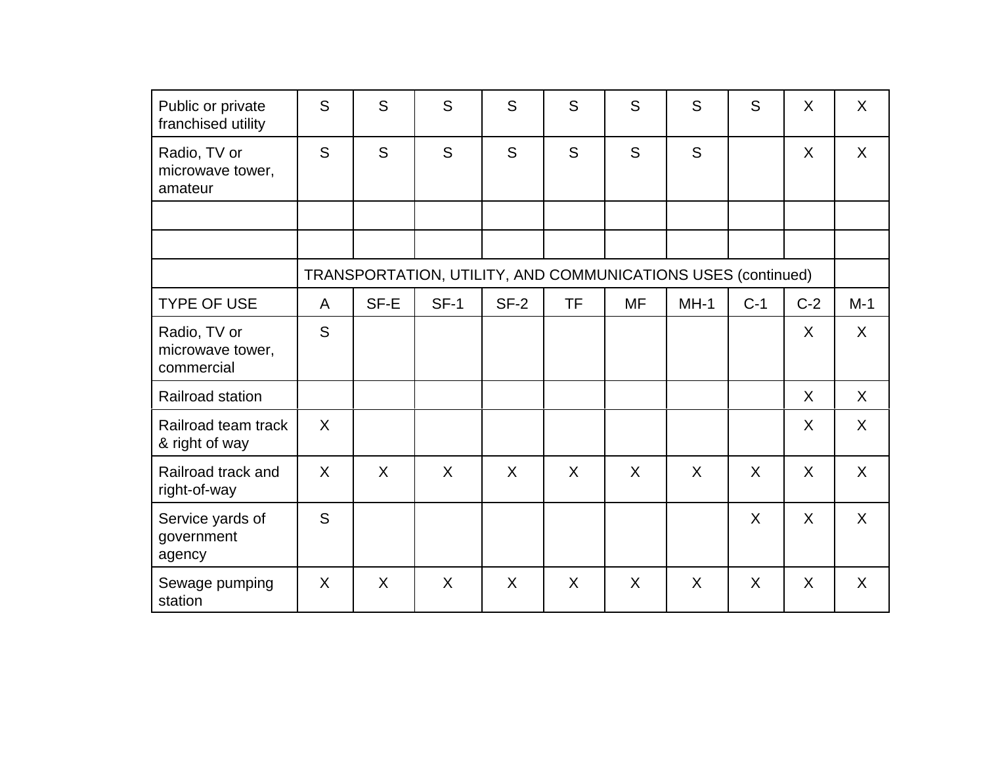| Public or private<br>franchised utility        | S       | S       | S                                                            | S      | S         | S         | S      | S     | X            | $\sf X$ |
|------------------------------------------------|---------|---------|--------------------------------------------------------------|--------|-----------|-----------|--------|-------|--------------|---------|
| Radio, TV or<br>microwave tower,<br>amateur    | S       | S       | S                                                            | S      | S         | S         | S      |       | X            | $\sf X$ |
|                                                |         |         |                                                              |        |           |           |        |       |              |         |
|                                                |         |         |                                                              |        |           |           |        |       |              |         |
|                                                |         |         | TRANSPORTATION, UTILITY, AND COMMUNICATIONS USES (continued) |        |           |           |        |       |              |         |
| <b>TYPE OF USE</b>                             | A       | SF-E    | $SF-1$                                                       | $SF-2$ | <b>TF</b> | <b>MF</b> | $MH-1$ | $C-1$ | $C-2$        | $M-1$   |
| Radio, TV or<br>microwave tower,<br>commercial | S       |         |                                                              |        |           |           |        |       | X            | $\sf X$ |
| Railroad station                               |         |         |                                                              |        |           |           |        |       | $\mathsf{X}$ | $\sf X$ |
| Railroad team track<br>& right of way          | $\sf X$ |         |                                                              |        |           |           |        |       | X            | X       |
| Railroad track and<br>right-of-way             | $\sf X$ | $\sf X$ | X                                                            | X      | X         | $\sf X$   | X      | X     | X            | X       |
| Service yards of<br>government<br>agency       | S       |         |                                                              |        |           |           |        | X     | X            | $\sf X$ |
| Sewage pumping<br>station                      | X       | X       | X                                                            | X      | X         | X         | X      | X     | X            | $\sf X$ |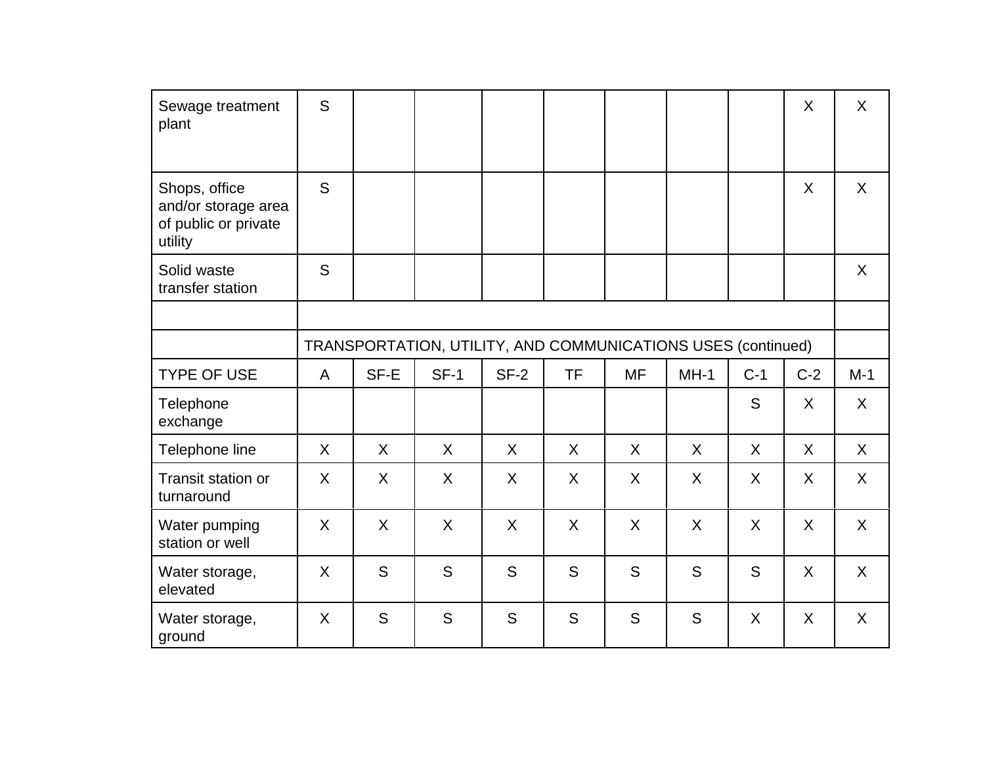| Sewage treatment<br>plant                                               | S            |      |                                                              |         |           |           |         |       | $\sf X$ | X     |
|-------------------------------------------------------------------------|--------------|------|--------------------------------------------------------------|---------|-----------|-----------|---------|-------|---------|-------|
| Shops, office<br>and/or storage area<br>of public or private<br>utility | S            |      |                                                              |         |           |           |         |       | X       | X     |
| Solid waste<br>transfer station                                         | S            |      |                                                              |         |           |           |         |       |         | X     |
|                                                                         |              |      |                                                              |         |           |           |         |       |         |       |
|                                                                         |              |      | TRANSPORTATION, UTILITY, AND COMMUNICATIONS USES (continued) |         |           |           |         |       |         |       |
| <b>TYPE OF USE</b>                                                      | $\mathsf{A}$ | SF-E | $SF-1$                                                       | $SF-2$  | <b>TF</b> | <b>MF</b> | $MH-1$  | $C-1$ | $C-2$   | $M-1$ |
| Telephone<br>exchange                                                   |              |      |                                                              |         |           |           |         | S     | $\sf X$ | X     |
| Telephone line                                                          | $\sf X$      | X    | $\sf X$                                                      | $\sf X$ | $\sf X$   | X         | $\sf X$ | X     | $\sf X$ | X     |
| Transit station or<br>turnaround                                        | X            | X    | X                                                            | X       | X         | X         | X       | X     | X       | X     |
| Water pumping<br>station or well                                        | X            | X    | X                                                            | X       | X         | X         | X       | X     | X       | X     |
| Water storage,<br>elevated                                              | X            | S    | S                                                            | S       | S         | S         | S       | S     | $\sf X$ | X     |
| Water storage,<br>ground                                                | X            | S    | S                                                            | S       | S         | S         | S       | X     | X       | X     |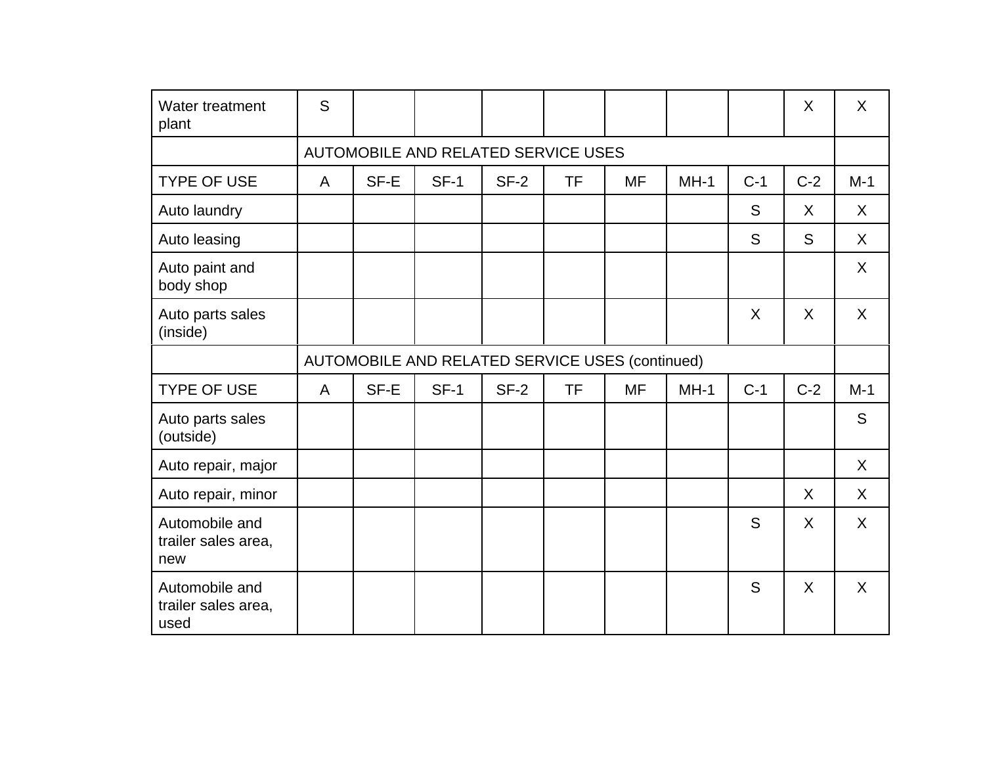| Water treatment<br>plant                      | S            |      |                                                 |        |           |           |        |         | X       | $\sf X$ |
|-----------------------------------------------|--------------|------|-------------------------------------------------|--------|-----------|-----------|--------|---------|---------|---------|
|                                               |              |      | AUTOMOBILE AND RELATED SERVICE USES             |        |           |           |        |         |         |         |
| <b>TYPE OF USE</b>                            | A            | SF-E | $SF-1$                                          | $SF-2$ | <b>TF</b> | <b>MF</b> | $MH-1$ | $C-1$   | $C-2$   | $M-1$   |
| Auto laundry                                  |              |      |                                                 |        |           |           |        | S       | X       | X       |
| Auto leasing                                  |              |      |                                                 |        |           |           |        | S       | S       | X       |
| Auto paint and<br>body shop                   |              |      |                                                 |        |           |           |        |         |         | X       |
| Auto parts sales<br>(inside)                  |              |      |                                                 |        |           |           |        | $\sf X$ | $\sf X$ | X       |
|                                               |              |      | AUTOMOBILE AND RELATED SERVICE USES (continued) |        |           |           |        |         |         |         |
| <b>TYPE OF USE</b>                            | $\mathsf{A}$ | SF-E | $SF-1$                                          | $SF-2$ | <b>TF</b> | <b>MF</b> | $MH-1$ | $C-1$   | $C-2$   | $M-1$   |
| Auto parts sales<br>(outside)                 |              |      |                                                 |        |           |           |        |         |         | S       |
| Auto repair, major                            |              |      |                                                 |        |           |           |        |         |         | $\sf X$ |
| Auto repair, minor                            |              |      |                                                 |        |           |           |        |         | X       | X       |
| Automobile and<br>trailer sales area,<br>new  |              |      |                                                 |        |           |           |        | S       | X       | $\sf X$ |
| Automobile and<br>trailer sales area,<br>used |              |      |                                                 |        |           |           |        | S       | $\sf X$ | $\sf X$ |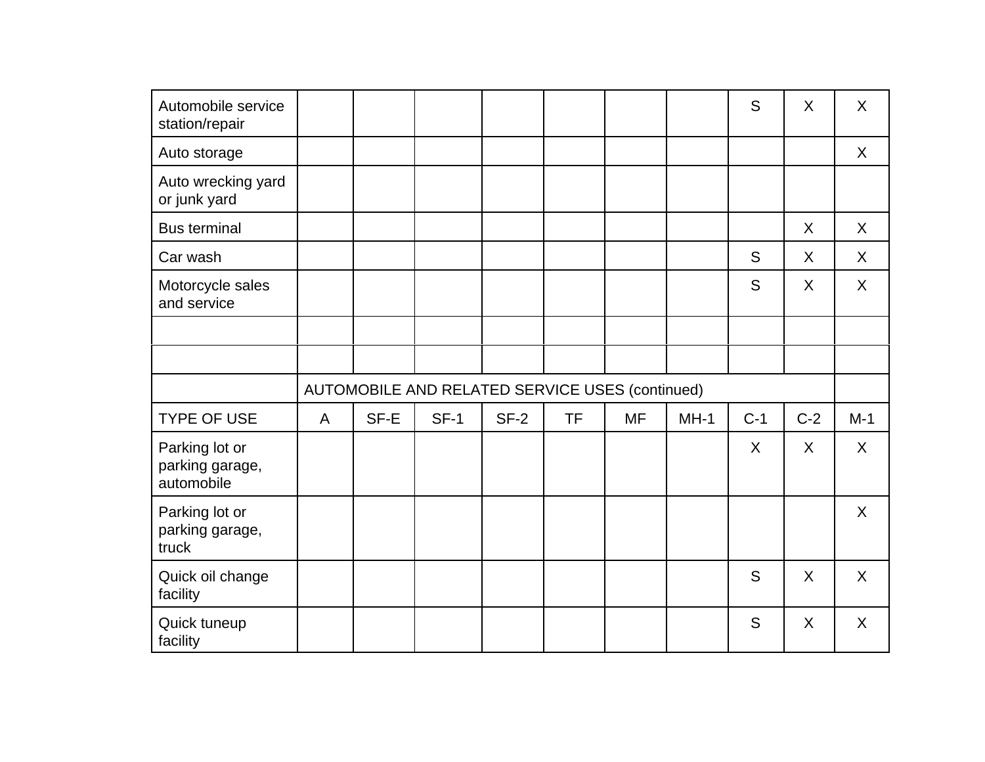| Automobile service<br>station/repair            |              |      |                                                 |        |           |           |        | S     | X       | $\sf X$ |
|-------------------------------------------------|--------------|------|-------------------------------------------------|--------|-----------|-----------|--------|-------|---------|---------|
| Auto storage                                    |              |      |                                                 |        |           |           |        |       |         | $\sf X$ |
| Auto wrecking yard<br>or junk yard              |              |      |                                                 |        |           |           |        |       |         |         |
| <b>Bus terminal</b>                             |              |      |                                                 |        |           |           |        |       | X       | $\sf X$ |
| Car wash                                        |              |      |                                                 |        |           |           |        | S     | X       | X       |
| Motorcycle sales<br>and service                 |              |      |                                                 |        |           |           |        | S     | X       | X       |
|                                                 |              |      |                                                 |        |           |           |        |       |         |         |
|                                                 |              |      |                                                 |        |           |           |        |       |         |         |
|                                                 |              |      | AUTOMOBILE AND RELATED SERVICE USES (continued) |        |           |           |        |       |         |         |
| <b>TYPE OF USE</b>                              | $\mathsf{A}$ | SF-E | $SF-1$                                          | $SF-2$ | <b>TF</b> | <b>MF</b> | $MH-1$ | $C-1$ | $C-2$   | $M-1$   |
| Parking lot or<br>parking garage,<br>automobile |              |      |                                                 |        |           |           |        | X     | X       | X       |
| Parking lot or<br>parking garage,<br>truck      |              |      |                                                 |        |           |           |        |       |         | $\sf X$ |
| Quick oil change<br>facility                    |              |      |                                                 |        |           |           |        | S     | $\sf X$ | X       |
| Quick tuneup<br>facility                        |              |      |                                                 |        |           |           |        | S     | X       | $\sf X$ |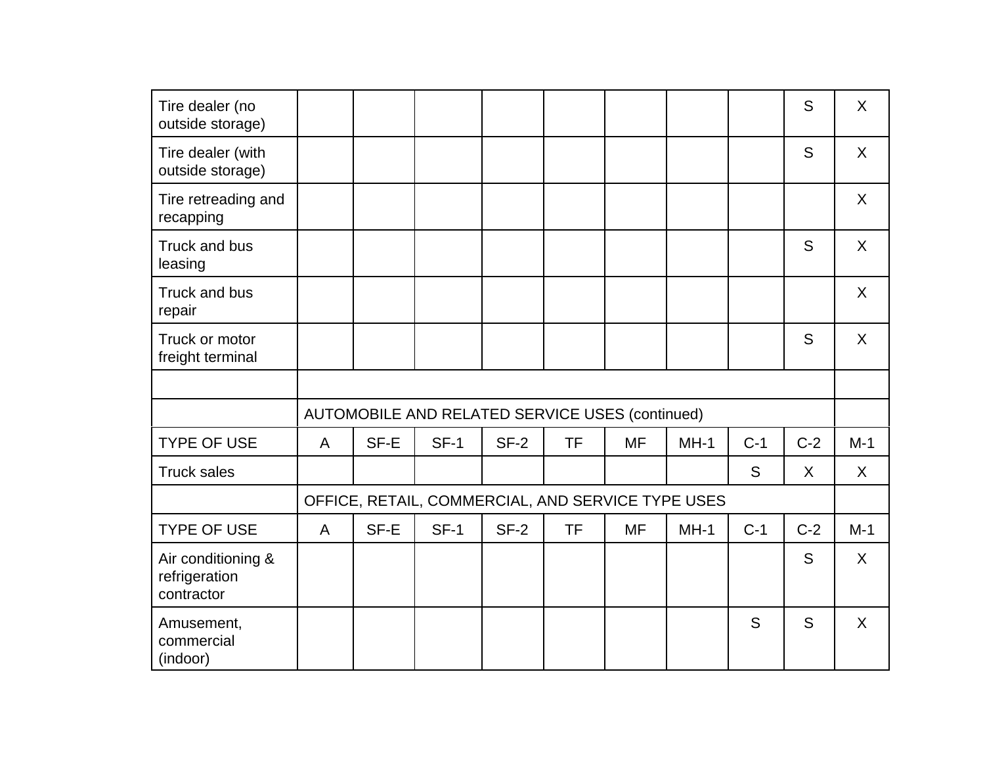| Tire dealer (no<br>outside storage)               |   |      |                                                   |        |           |           |        |       | S       | X            |
|---------------------------------------------------|---|------|---------------------------------------------------|--------|-----------|-----------|--------|-------|---------|--------------|
| Tire dealer (with<br>outside storage)             |   |      |                                                   |        |           |           |        |       | S       | X            |
| Tire retreading and<br>recapping                  |   |      |                                                   |        |           |           |        |       |         | X            |
| Truck and bus<br>leasing                          |   |      |                                                   |        |           |           |        |       | S       | $\mathsf{X}$ |
| Truck and bus<br>repair                           |   |      |                                                   |        |           |           |        |       |         | X            |
| Truck or motor<br>freight terminal                |   |      |                                                   |        |           |           |        |       | S       | $\mathsf{X}$ |
|                                                   |   |      |                                                   |        |           |           |        |       |         |              |
|                                                   |   |      | AUTOMOBILE AND RELATED SERVICE USES (continued)   |        |           |           |        |       |         |              |
| <b>TYPE OF USE</b>                                | A | SF-E | $SF-1$                                            | $SF-2$ | <b>TF</b> | <b>MF</b> | $MH-1$ | $C-1$ | $C-2$   | $M-1$        |
| <b>Truck sales</b>                                |   |      |                                                   |        |           |           |        | S     | $\sf X$ | X            |
|                                                   |   |      | OFFICE, RETAIL, COMMERCIAL, AND SERVICE TYPE USES |        |           |           |        |       |         |              |
| <b>TYPE OF USE</b>                                | A | SF-E | $SF-1$                                            | $SF-2$ | <b>TF</b> | <b>MF</b> | $MH-1$ | $C-1$ | $C-2$   | $M-1$        |
| Air conditioning &<br>refrigeration<br>contractor |   |      |                                                   |        |           |           |        |       | S       | X            |
| Amusement,<br>commercial<br>(indoor)              |   |      |                                                   |        |           |           |        | S     | S       | X            |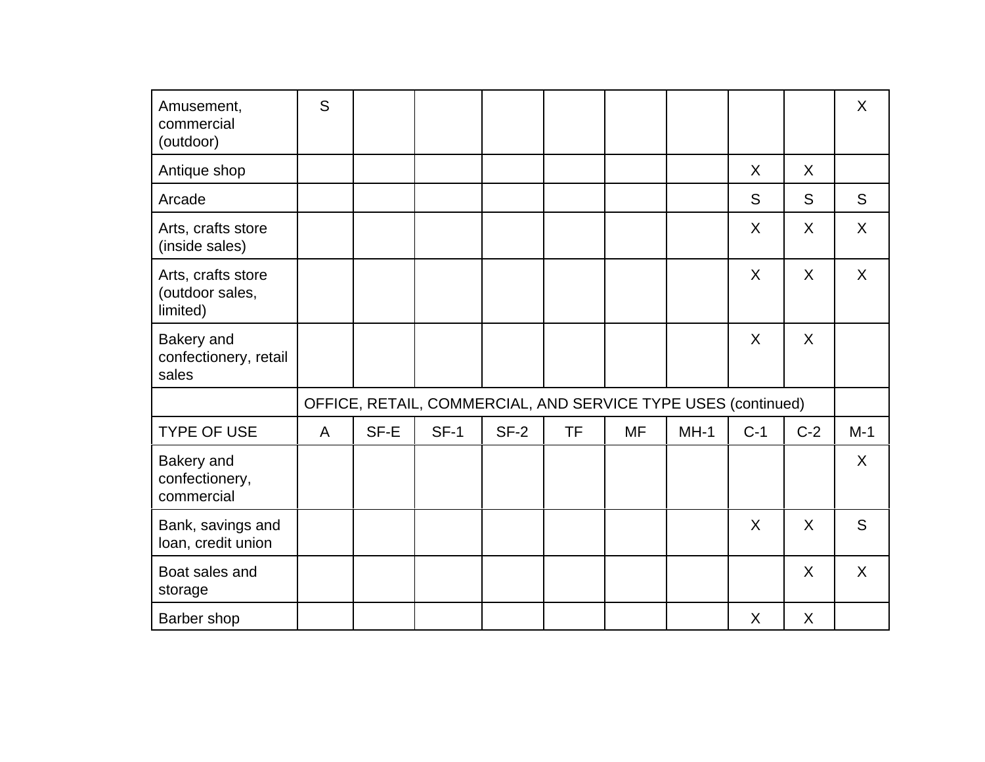| Amusement,<br>commercial<br>(outdoor)             | S |      |                                                               |        |           |           |        |         |         | X            |
|---------------------------------------------------|---|------|---------------------------------------------------------------|--------|-----------|-----------|--------|---------|---------|--------------|
| Antique shop                                      |   |      |                                                               |        |           |           |        | X       | $\sf X$ |              |
| Arcade                                            |   |      |                                                               |        |           |           |        | S       | S       | S            |
| Arts, crafts store<br>(inside sales)              |   |      |                                                               |        |           |           |        | X       | X       | $\sf X$      |
| Arts, crafts store<br>(outdoor sales,<br>limited) |   |      |                                                               |        |           |           |        | X       | $\sf X$ | $\mathsf{X}$ |
| Bakery and<br>confectionery, retail<br>sales      |   |      |                                                               |        |           |           |        | $\sf X$ | X       |              |
|                                                   |   |      | OFFICE, RETAIL, COMMERCIAL, AND SERVICE TYPE USES (continued) |        |           |           |        |         |         |              |
| <b>TYPE OF USE</b>                                | A | SF-E | $SF-1$                                                        | $SF-2$ | <b>TF</b> | <b>MF</b> | $MH-1$ | $C-1$   | $C-2$   | $M-1$        |
| Bakery and<br>confectionery,<br>commercial        |   |      |                                                               |        |           |           |        |         |         | $\sf X$      |
| Bank, savings and<br>loan, credit union           |   |      |                                                               |        |           |           |        | X       | $\sf X$ | S            |
| Boat sales and<br>storage                         |   |      |                                                               |        |           |           |        |         | X       | $\sf X$      |
| Barber shop                                       |   |      |                                                               |        |           |           |        | X       | X       |              |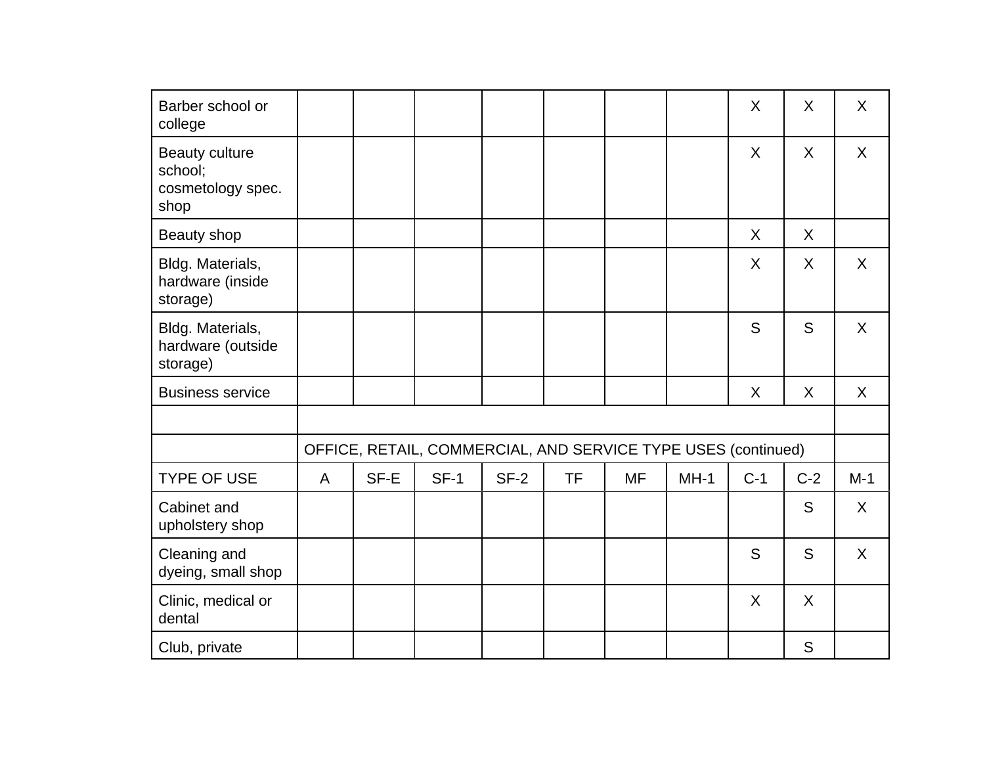| Barber school or<br>college                                   |   |      |                                                               |        |           |           |        | X     | X     | X            |
|---------------------------------------------------------------|---|------|---------------------------------------------------------------|--------|-----------|-----------|--------|-------|-------|--------------|
| <b>Beauty culture</b><br>school;<br>cosmetology spec.<br>shop |   |      |                                                               |        |           |           |        | X     | X     | $\mathsf{X}$ |
| Beauty shop                                                   |   |      |                                                               |        |           |           |        | X     | X     |              |
| Bldg. Materials,<br>hardware (inside<br>storage)              |   |      |                                                               |        |           |           |        | X     | X     | X            |
| Bldg. Materials,<br>hardware (outside<br>storage)             |   |      |                                                               |        |           |           |        | S     | S     | X            |
| <b>Business service</b>                                       |   |      |                                                               |        |           |           |        | X     | X     | $\mathsf{X}$ |
|                                                               |   |      |                                                               |        |           |           |        |       |       |              |
|                                                               |   |      | OFFICE, RETAIL, COMMERCIAL, AND SERVICE TYPE USES (continued) |        |           |           |        |       |       |              |
| <b>TYPE OF USE</b>                                            | A | SF-E | $SF-1$                                                        | $SF-2$ | <b>TF</b> | <b>MF</b> | $MH-1$ | $C-1$ | $C-2$ | $M-1$        |
| Cabinet and<br>upholstery shop                                |   |      |                                                               |        |           |           |        |       | S     | $\mathsf{X}$ |
| Cleaning and<br>dyeing, small shop                            |   |      |                                                               |        |           |           |        | S     | S     | X            |
| Clinic, medical or<br>dental                                  |   |      |                                                               |        |           |           |        | X     | X     |              |
| Club, private                                                 |   |      |                                                               |        |           |           |        |       | S     |              |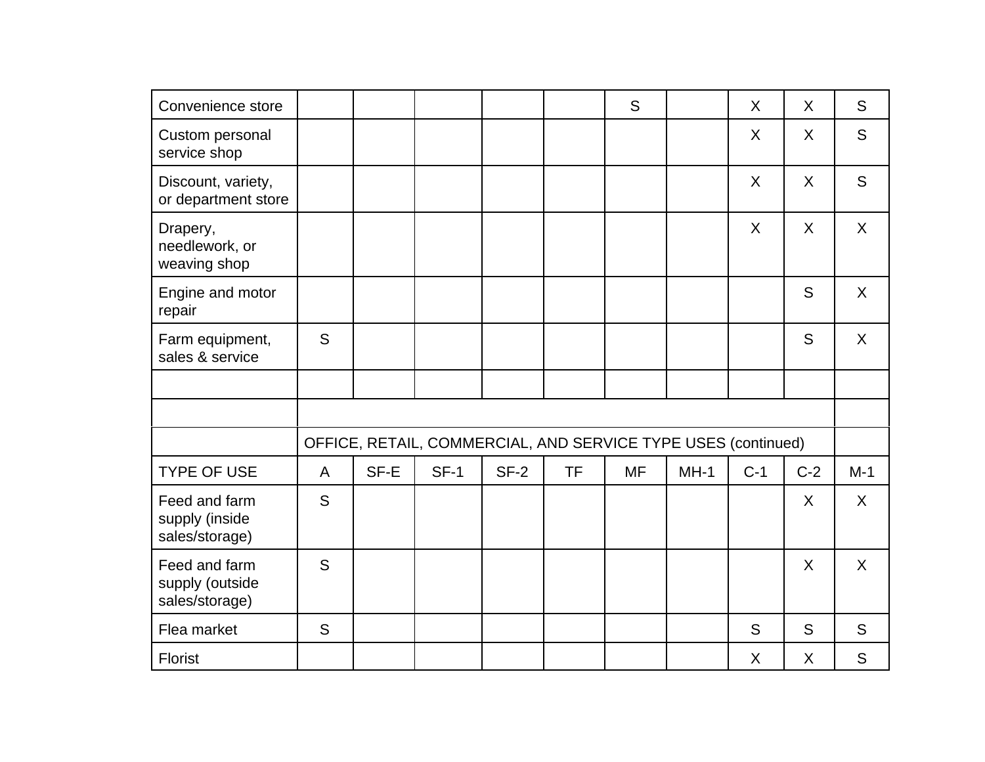| Convenience store                                  |              |      |                                                               |        |           | S         |        | $\sf X$ | X       | S       |
|----------------------------------------------------|--------------|------|---------------------------------------------------------------|--------|-----------|-----------|--------|---------|---------|---------|
| Custom personal<br>service shop                    |              |      |                                                               |        |           |           |        | X       | X       | S       |
| Discount, variety,<br>or department store          |              |      |                                                               |        |           |           |        | $\sf X$ | $\sf X$ | S       |
| Drapery,<br>needlework, or<br>weaving shop         |              |      |                                                               |        |           |           |        | $\sf X$ | $\sf X$ | $\sf X$ |
| Engine and motor<br>repair                         |              |      |                                                               |        |           |           |        |         | S       | $\sf X$ |
| Farm equipment,<br>sales & service                 | S            |      |                                                               |        |           |           |        |         | S       | $\sf X$ |
|                                                    |              |      |                                                               |        |           |           |        |         |         |         |
|                                                    |              |      |                                                               |        |           |           |        |         |         |         |
|                                                    |              |      | OFFICE, RETAIL, COMMERCIAL, AND SERVICE TYPE USES (continued) |        |           |           |        |         |         |         |
| <b>TYPE OF USE</b>                                 | $\mathsf{A}$ | SF-E | $SF-1$                                                        | $SF-2$ | <b>TF</b> | <b>MF</b> | $MH-1$ | $C-1$   | $C-2$   | $M-1$   |
| Feed and farm<br>supply (inside<br>sales/storage)  | S            |      |                                                               |        |           |           |        |         | X       | $\sf X$ |
| Feed and farm<br>supply (outside<br>sales/storage) | S            |      |                                                               |        |           |           |        |         | X       | $\sf X$ |
| Flea market                                        | S            |      |                                                               |        |           |           |        | S       | S       | S       |
| <b>Florist</b>                                     |              |      |                                                               |        |           |           |        | X       | X       | S       |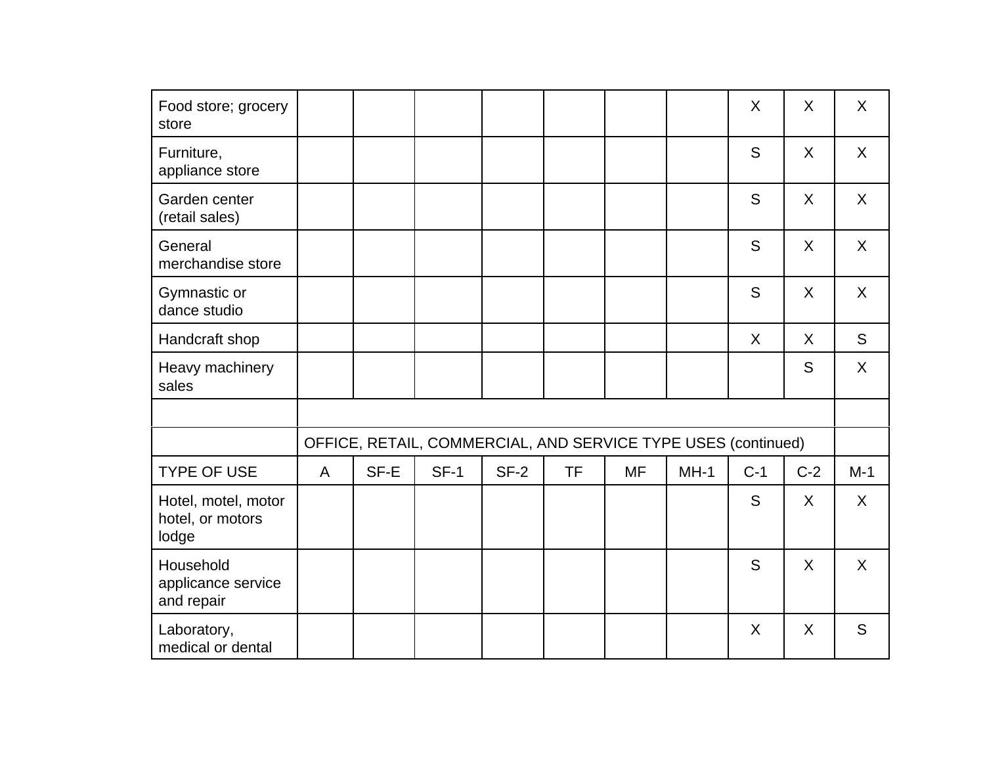| Food store; grocery<br>store                     |              |      |                                                               |        |           |           |        | X       | X     | X       |
|--------------------------------------------------|--------------|------|---------------------------------------------------------------|--------|-----------|-----------|--------|---------|-------|---------|
| Furniture,<br>appliance store                    |              |      |                                                               |        |           |           |        | S       | X     | X       |
| Garden center<br>(retail sales)                  |              |      |                                                               |        |           |           |        | S       | X     | X       |
| General<br>merchandise store                     |              |      |                                                               |        |           |           |        | S       | X     | X       |
| Gymnastic or<br>dance studio                     |              |      |                                                               |        |           |           |        | S       | X     | X       |
| Handcraft shop                                   |              |      |                                                               |        |           |           |        | $\sf X$ | X     | S       |
| Heavy machinery<br>sales                         |              |      |                                                               |        |           |           |        |         | S     | X       |
|                                                  |              |      |                                                               |        |           |           |        |         |       |         |
|                                                  |              |      | OFFICE, RETAIL, COMMERCIAL, AND SERVICE TYPE USES (continued) |        |           |           |        |         |       |         |
| <b>TYPE OF USE</b>                               | $\mathsf{A}$ | SF-E | $SF-1$                                                        | $SF-2$ | <b>TF</b> | <b>MF</b> | $MH-1$ | $C-1$   | $C-2$ | $M-1$   |
| Hotel, motel, motor<br>hotel, or motors<br>lodge |              |      |                                                               |        |           |           |        | S       | X     | X       |
| Household<br>applicance service<br>and repair    |              |      |                                                               |        |           |           |        | S       | X     | $\sf X$ |
| Laboratory,<br>medical or dental                 |              |      |                                                               |        |           |           |        | X       | X     | S       |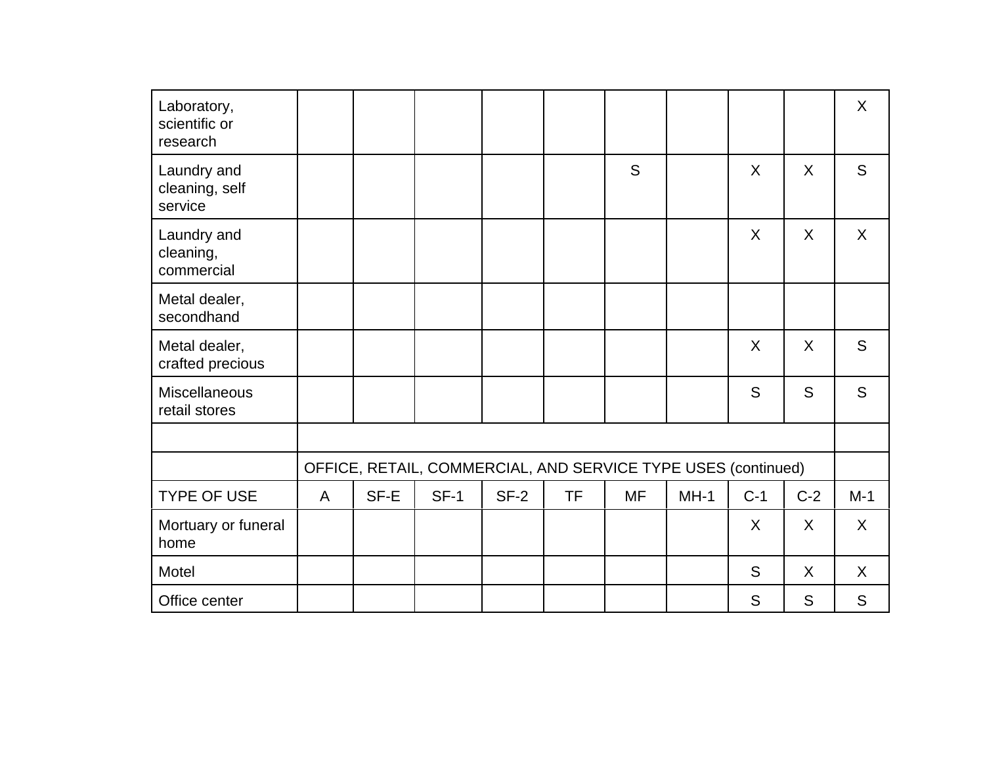| Laboratory,<br>scientific or<br>research |   |      |                                                               |        |           |           |        |       |         | $\sf X$ |
|------------------------------------------|---|------|---------------------------------------------------------------|--------|-----------|-----------|--------|-------|---------|---------|
| Laundry and<br>cleaning, self<br>service |   |      |                                                               |        |           | S         |        | X     | X       | S       |
| Laundry and<br>cleaning,<br>commercial   |   |      |                                                               |        |           |           |        | X     | X       | X       |
| Metal dealer,<br>secondhand              |   |      |                                                               |        |           |           |        |       |         |         |
| Metal dealer,<br>crafted precious        |   |      |                                                               |        |           |           |        | X     | $\sf X$ | S       |
| Miscellaneous<br>retail stores           |   |      |                                                               |        |           |           |        | S     | S       | S       |
|                                          |   |      |                                                               |        |           |           |        |       |         |         |
|                                          |   |      | OFFICE, RETAIL, COMMERCIAL, AND SERVICE TYPE USES (continued) |        |           |           |        |       |         |         |
| <b>TYPE OF USE</b>                       | A | SF-E | $SF-1$                                                        | $SF-2$ | <b>TF</b> | <b>MF</b> | $MH-1$ | $C-1$ | $C-2$   | $M-1$   |
| Mortuary or funeral<br>home              |   |      |                                                               |        |           |           |        | X     | $\sf X$ | X       |
| Motel                                    |   |      |                                                               |        |           |           |        | S     | $\sf X$ | $\sf X$ |
| Office center                            |   |      |                                                               |        |           |           |        | S     | S       | S       |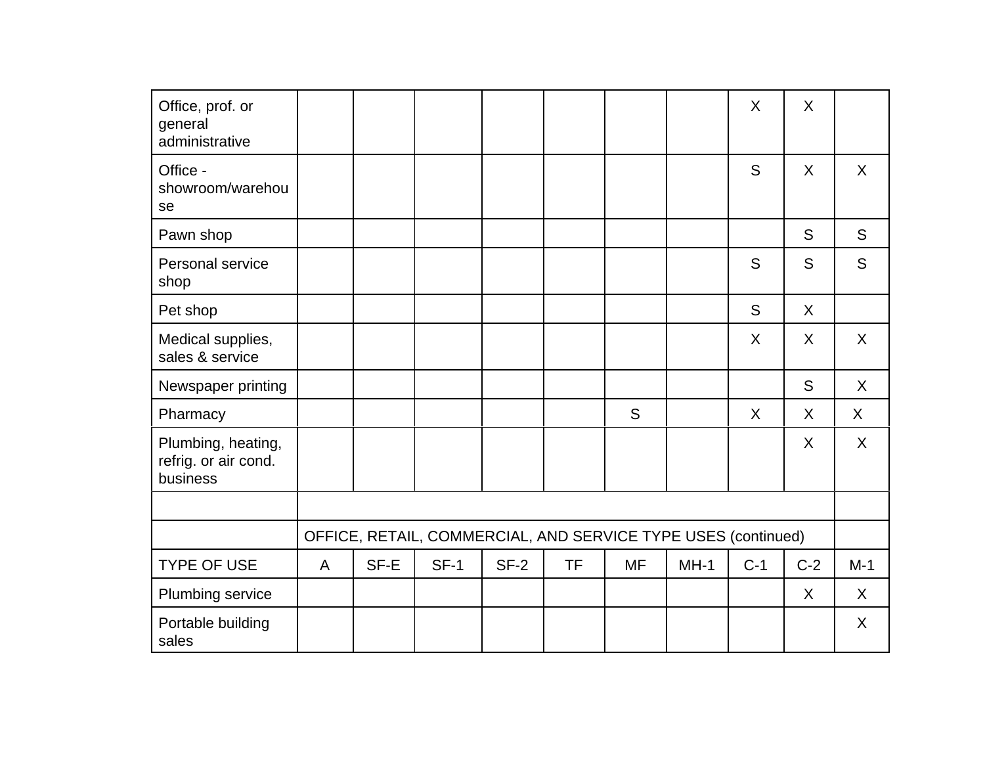| Office, prof. or<br>general<br>administrative          |                |      |                                                               |        |           |           |        | X     | X       |         |
|--------------------------------------------------------|----------------|------|---------------------------------------------------------------|--------|-----------|-----------|--------|-------|---------|---------|
| Office -<br>showroom/warehou<br>se                     |                |      |                                                               |        |           |           |        | S     | $\sf X$ | $\sf X$ |
| Pawn shop                                              |                |      |                                                               |        |           |           |        |       | S       | S       |
| Personal service<br>shop                               |                |      |                                                               |        |           |           |        | S     | S       | S       |
| Pet shop                                               |                |      |                                                               |        |           |           |        | S     | X       |         |
| Medical supplies,<br>sales & service                   |                |      |                                                               |        |           |           |        | X     | X       | $\sf X$ |
| Newspaper printing                                     |                |      |                                                               |        |           |           |        |       | S       | X       |
| Pharmacy                                               |                |      |                                                               |        |           | S         |        | X     | X       | X       |
| Plumbing, heating,<br>refrig. or air cond.<br>business |                |      |                                                               |        |           |           |        |       | X       | X       |
|                                                        |                |      |                                                               |        |           |           |        |       |         |         |
|                                                        |                |      | OFFICE, RETAIL, COMMERCIAL, AND SERVICE TYPE USES (continued) |        |           |           |        |       |         |         |
| <b>TYPE OF USE</b>                                     | $\overline{A}$ | SF-E | $SF-1$                                                        | $SF-2$ | <b>TF</b> | <b>MF</b> | $MH-1$ | $C-1$ | $C-2$   | $M-1$   |
| Plumbing service                                       |                |      |                                                               |        |           |           |        |       | X       | X       |
| Portable building<br>sales                             |                |      |                                                               |        |           |           |        |       |         | X       |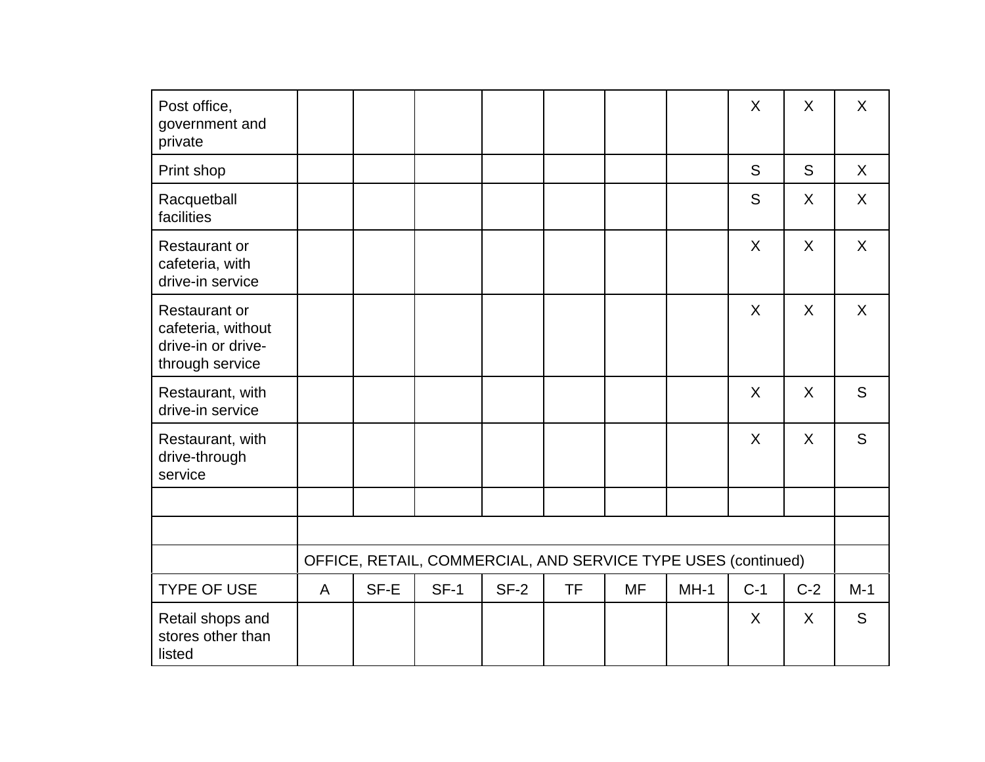| Post office,<br>government and<br>private                                           |   |      |                                                               |        |           |           |        | X       | X       | X     |
|-------------------------------------------------------------------------------------|---|------|---------------------------------------------------------------|--------|-----------|-----------|--------|---------|---------|-------|
| Print shop                                                                          |   |      |                                                               |        |           |           |        | S       | S       | X     |
| Racquetball<br>facilities                                                           |   |      |                                                               |        |           |           |        | S       | X       | X     |
| Restaurant or<br>cafeteria, with<br>drive-in service                                |   |      |                                                               |        |           |           |        | X       | X       | X     |
| <b>Restaurant or</b><br>cafeteria, without<br>drive-in or drive-<br>through service |   |      |                                                               |        |           |           |        | X       | X       | X     |
| Restaurant, with<br>drive-in service                                                |   |      |                                                               |        |           |           |        | X       | X       | S     |
| Restaurant, with<br>drive-through<br>service                                        |   |      |                                                               |        |           |           |        | X       | X       | S     |
|                                                                                     |   |      |                                                               |        |           |           |        |         |         |       |
|                                                                                     |   |      |                                                               |        |           |           |        |         |         |       |
|                                                                                     |   |      | OFFICE, RETAIL, COMMERCIAL, AND SERVICE TYPE USES (continued) |        |           |           |        |         |         |       |
| <b>TYPE OF USE</b>                                                                  | A | SF-E | $SF-1$                                                        | $SF-2$ | <b>TF</b> | <b>MF</b> | $MH-1$ | $C-1$   | $C-2$   | $M-1$ |
| Retail shops and<br>stores other than<br>listed                                     |   |      |                                                               |        |           |           |        | $\sf X$ | $\sf X$ | S     |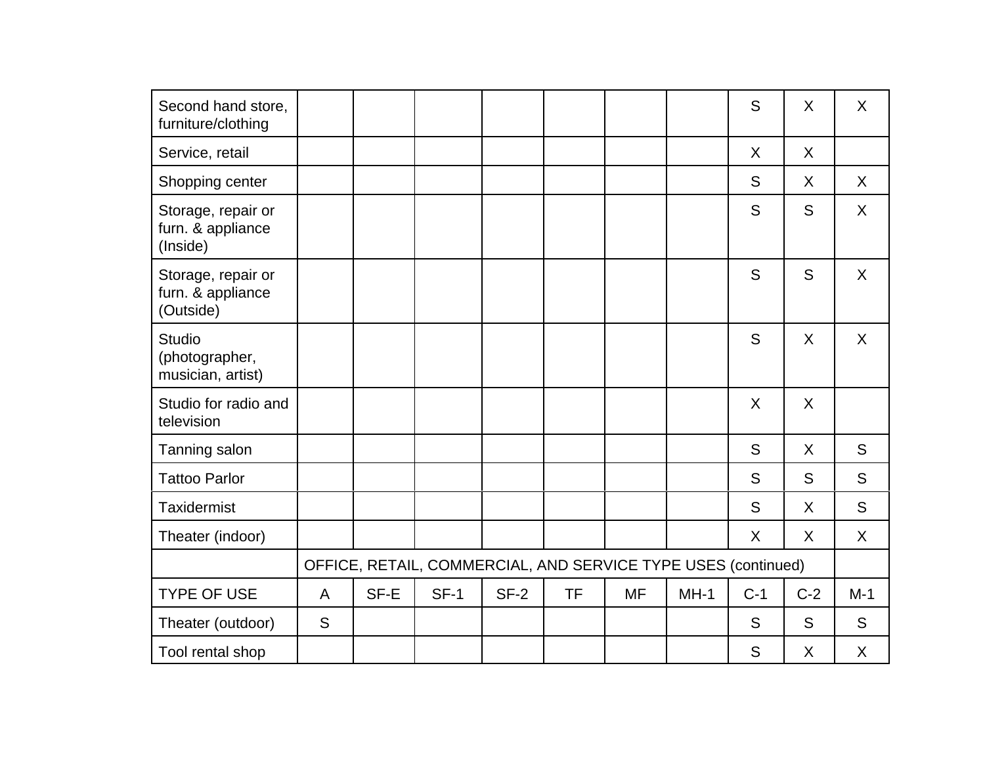| Second hand store,<br>furniture/clothing             |              |      |                                                               |        |           |           |        | S       | X       | X     |
|------------------------------------------------------|--------------|------|---------------------------------------------------------------|--------|-----------|-----------|--------|---------|---------|-------|
| Service, retail                                      |              |      |                                                               |        |           |           |        | X       | X       |       |
| Shopping center                                      |              |      |                                                               |        |           |           |        | S       | X       | X     |
| Storage, repair or<br>furn. & appliance<br>(Inside)  |              |      |                                                               |        |           |           |        | S       | S       | X     |
| Storage, repair or<br>furn. & appliance<br>(Outside) |              |      |                                                               |        |           |           |        | S       | S       | X     |
| <b>Studio</b><br>(photographer,<br>musician, artist) |              |      |                                                               |        |           |           |        | S       | X       | X     |
| Studio for radio and<br>television                   |              |      |                                                               |        |           |           |        | $\sf X$ | $\sf X$ |       |
| Tanning salon                                        |              |      |                                                               |        |           |           |        | S       | $\sf X$ | S     |
| <b>Tattoo Parlor</b>                                 |              |      |                                                               |        |           |           |        | S       | S       | S     |
| <b>Taxidermist</b>                                   |              |      |                                                               |        |           |           |        | S       | X       | S     |
| Theater (indoor)                                     |              |      |                                                               |        |           |           |        | X       | X       | X     |
|                                                      |              |      | OFFICE, RETAIL, COMMERCIAL, AND SERVICE TYPE USES (continued) |        |           |           |        |         |         |       |
| <b>TYPE OF USE</b>                                   | $\mathsf{A}$ | SF-E | $SF-1$                                                        | $SF-2$ | <b>TF</b> | <b>MF</b> | $MH-1$ | $C-1$   | $C-2$   | $M-1$ |
| Theater (outdoor)                                    | S            |      |                                                               |        |           |           |        | S       | S       | S     |
| Tool rental shop                                     |              |      |                                                               |        |           |           |        | S       | X       | X     |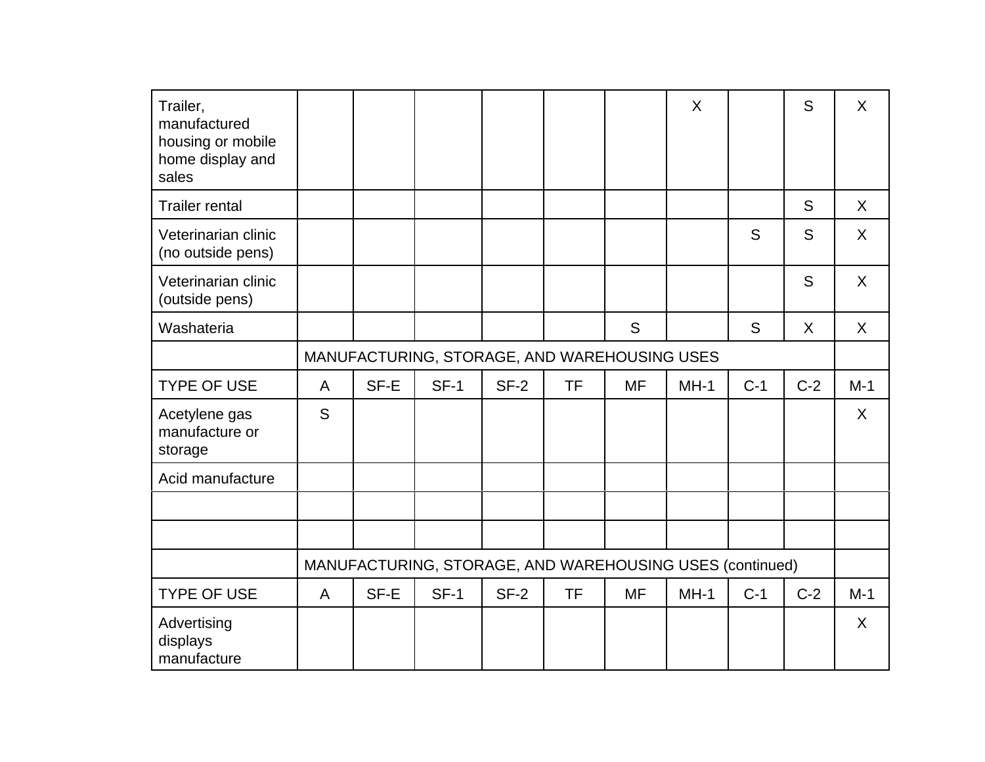| Trailer,<br>manufactured<br>housing or mobile<br>home display and<br>sales |              |      |                                                          |        |           |           | X      |       | S       | $\sf X$ |
|----------------------------------------------------------------------------|--------------|------|----------------------------------------------------------|--------|-----------|-----------|--------|-------|---------|---------|
| <b>Trailer rental</b>                                                      |              |      |                                                          |        |           |           |        |       | S       | $\sf X$ |
| Veterinarian clinic<br>(no outside pens)                                   |              |      |                                                          |        |           |           |        | S     | S       | X       |
| Veterinarian clinic<br>(outside pens)                                      |              |      |                                                          |        |           |           |        |       | S       | $\sf X$ |
| Washateria                                                                 |              |      |                                                          |        |           | S         |        | S     | $\sf X$ | $\sf X$ |
|                                                                            |              |      | MANUFACTURING, STORAGE, AND WAREHOUSING USES             |        |           |           |        |       |         |         |
| <b>TYPE OF USE</b>                                                         | $\mathsf{A}$ | SF-E | $SF-1$                                                   | $SF-2$ | <b>TF</b> | <b>MF</b> | $MH-1$ | $C-1$ | $C-2$   | $M-1$   |
| Acetylene gas<br>manufacture or<br>storage                                 | S            |      |                                                          |        |           |           |        |       |         | X       |
| Acid manufacture                                                           |              |      |                                                          |        |           |           |        |       |         |         |
|                                                                            |              |      |                                                          |        |           |           |        |       |         |         |
|                                                                            |              |      |                                                          |        |           |           |        |       |         |         |
|                                                                            |              |      | MANUFACTURING, STORAGE, AND WAREHOUSING USES (continued) |        |           |           |        |       |         |         |
| <b>TYPE OF USE</b>                                                         | A            | SF-E | $SF-1$                                                   | $SF-2$ | <b>TF</b> | <b>MF</b> | $MH-1$ | $C-1$ | $C-2$   | $M-1$   |
| Advertising<br>displays<br>manufacture                                     |              |      |                                                          |        |           |           |        |       |         | $\sf X$ |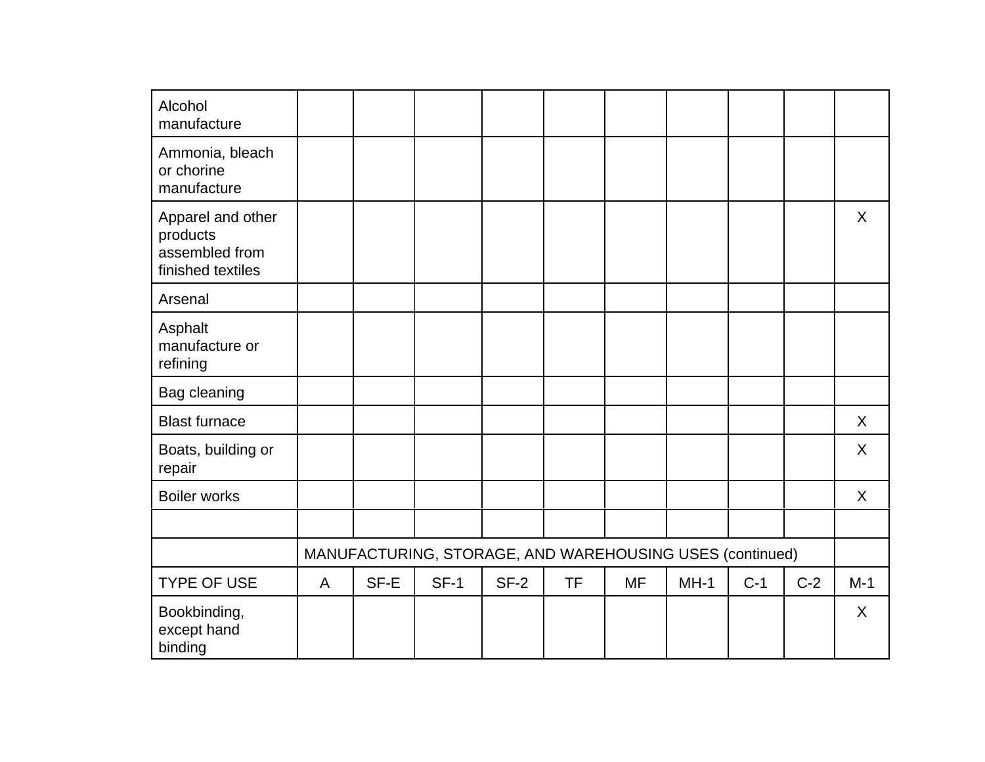| Alcohol<br>manufacture                                               |              |      |                                                          |        |           |           |        |       |       |         |
|----------------------------------------------------------------------|--------------|------|----------------------------------------------------------|--------|-----------|-----------|--------|-------|-------|---------|
| Ammonia, bleach<br>or chorine<br>manufacture                         |              |      |                                                          |        |           |           |        |       |       |         |
| Apparel and other<br>products<br>assembled from<br>finished textiles |              |      |                                                          |        |           |           |        |       |       | X       |
| Arsenal                                                              |              |      |                                                          |        |           |           |        |       |       |         |
| Asphalt<br>manufacture or<br>refining                                |              |      |                                                          |        |           |           |        |       |       |         |
| Bag cleaning                                                         |              |      |                                                          |        |           |           |        |       |       |         |
| <b>Blast furnace</b>                                                 |              |      |                                                          |        |           |           |        |       |       | $\sf X$ |
| Boats, building or<br>repair                                         |              |      |                                                          |        |           |           |        |       |       | X       |
| <b>Boiler works</b>                                                  |              |      |                                                          |        |           |           |        |       |       | X       |
|                                                                      |              |      |                                                          |        |           |           |        |       |       |         |
|                                                                      |              |      | MANUFACTURING, STORAGE, AND WAREHOUSING USES (continued) |        |           |           |        |       |       |         |
| <b>TYPE OF USE</b>                                                   | $\mathsf{A}$ | SF-E | $SF-1$                                                   | $SF-2$ | <b>TF</b> | <b>MF</b> | $MH-1$ | $C-1$ | $C-2$ | $M-1$   |
| Bookbinding,<br>except hand<br>binding                               |              |      |                                                          |        |           |           |        |       |       | X       |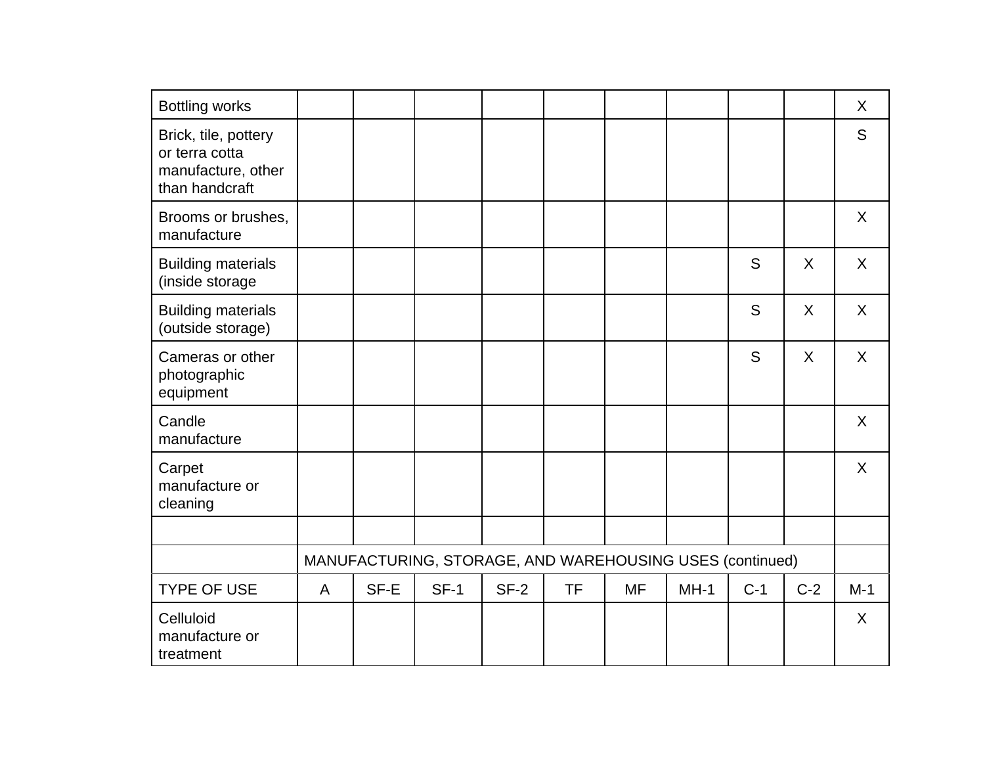| <b>Bottling works</b>                                                          |              |      |                                                          |        |           |           |        |       |         | X            |
|--------------------------------------------------------------------------------|--------------|------|----------------------------------------------------------|--------|-----------|-----------|--------|-------|---------|--------------|
| Brick, tile, pottery<br>or terra cotta<br>manufacture, other<br>than handcraft |              |      |                                                          |        |           |           |        |       |         | S            |
| Brooms or brushes,<br>manufacture                                              |              |      |                                                          |        |           |           |        |       |         | $\mathsf{X}$ |
| <b>Building materials</b><br>(inside storage                                   |              |      |                                                          |        |           |           |        | S     | X       | X            |
| <b>Building materials</b><br>(outside storage)                                 |              |      |                                                          |        |           |           |        | S     | $\sf X$ | $\mathsf{X}$ |
| Cameras or other<br>photographic<br>equipment                                  |              |      |                                                          |        |           |           |        | S     | $\sf X$ | X            |
| Candle<br>manufacture                                                          |              |      |                                                          |        |           |           |        |       |         | X            |
| Carpet<br>manufacture or<br>cleaning                                           |              |      |                                                          |        |           |           |        |       |         | $\sf X$      |
|                                                                                |              |      |                                                          |        |           |           |        |       |         |              |
|                                                                                |              |      | MANUFACTURING, STORAGE, AND WAREHOUSING USES (continued) |        |           |           |        |       |         |              |
| <b>TYPE OF USE</b>                                                             | $\mathsf{A}$ | SF-E | $SF-1$                                                   | $SF-2$ | <b>TF</b> | <b>MF</b> | $MH-1$ | $C-1$ | $C-2$   | $M-1$        |
| Celluloid<br>manufacture or<br>treatment                                       |              |      |                                                          |        |           |           |        |       |         | $\sf X$      |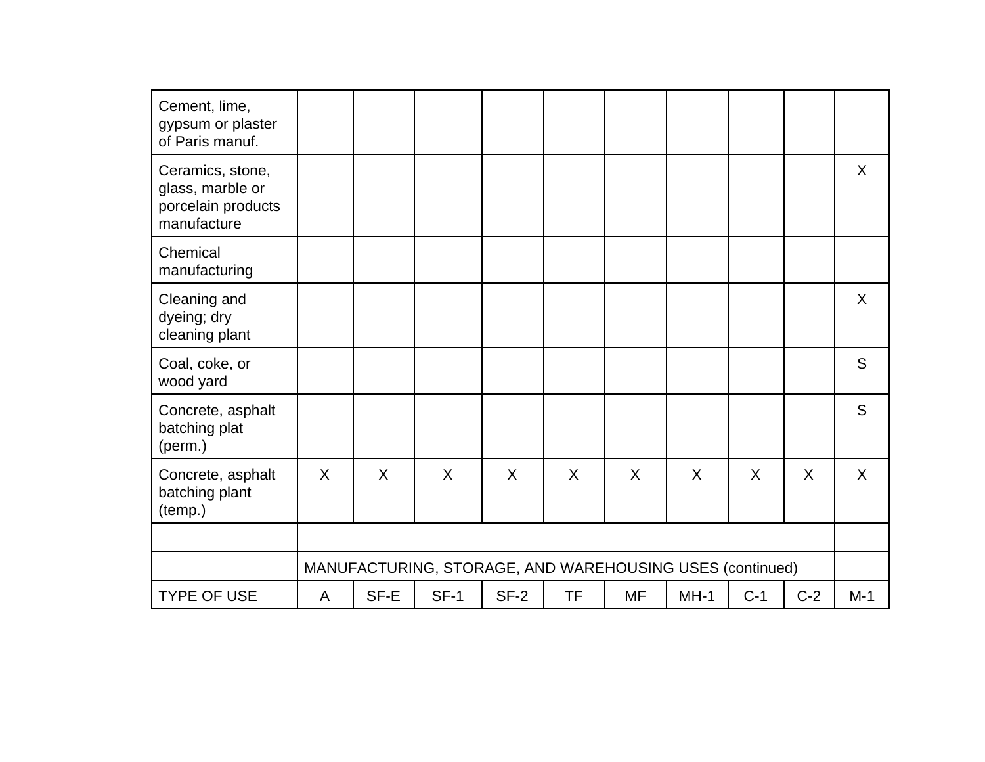| Cement, lime,<br>gypsum or plaster<br>of Paris manuf.                     |   |      |                                                          |        |           |           |         |       |       |       |
|---------------------------------------------------------------------------|---|------|----------------------------------------------------------|--------|-----------|-----------|---------|-------|-------|-------|
| Ceramics, stone,<br>glass, marble or<br>porcelain products<br>manufacture |   |      |                                                          |        |           |           |         |       |       | X     |
| Chemical<br>manufacturing                                                 |   |      |                                                          |        |           |           |         |       |       |       |
| Cleaning and<br>dyeing; dry<br>cleaning plant                             |   |      |                                                          |        |           |           |         |       |       | X     |
| Coal, coke, or<br>wood yard                                               |   |      |                                                          |        |           |           |         |       |       | S     |
| Concrete, asphalt<br>batching plat<br>(perm.)                             |   |      |                                                          |        |           |           |         |       |       | S     |
| Concrete, asphalt<br>batching plant<br>(temp.)                            | X | X    | X                                                        | X      | X         | X         | $\sf X$ | X     | X     | X     |
|                                                                           |   |      |                                                          |        |           |           |         |       |       |       |
|                                                                           |   |      | MANUFACTURING, STORAGE, AND WAREHOUSING USES (continued) |        |           |           |         |       |       |       |
| <b>TYPE OF USE</b>                                                        | A | SF-E | $SF-1$                                                   | $SF-2$ | <b>TF</b> | <b>MF</b> | $MH-1$  | $C-1$ | $C-2$ | $M-1$ |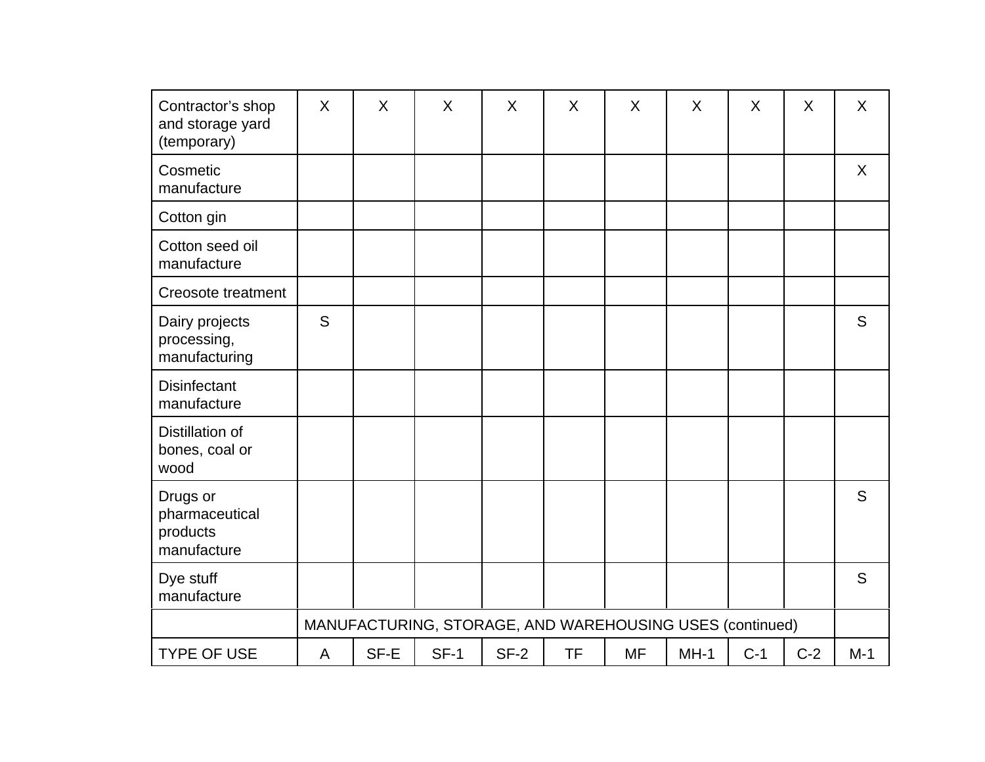| Contractor's shop<br>and storage yard<br>(temporary)  | $\sf X$ | X    | X                                                        | X      | X         | X         | X      | X     | X     | X     |
|-------------------------------------------------------|---------|------|----------------------------------------------------------|--------|-----------|-----------|--------|-------|-------|-------|
| Cosmetic<br>manufacture                               |         |      |                                                          |        |           |           |        |       |       | X     |
| Cotton gin                                            |         |      |                                                          |        |           |           |        |       |       |       |
| Cotton seed oil<br>manufacture                        |         |      |                                                          |        |           |           |        |       |       |       |
| <b>Creosote treatment</b>                             |         |      |                                                          |        |           |           |        |       |       |       |
| Dairy projects<br>processing,<br>manufacturing        | S       |      |                                                          |        |           |           |        |       |       | S     |
| <b>Disinfectant</b><br>manufacture                    |         |      |                                                          |        |           |           |        |       |       |       |
| Distillation of<br>bones, coal or<br>wood             |         |      |                                                          |        |           |           |        |       |       |       |
| Drugs or<br>pharmaceutical<br>products<br>manufacture |         |      |                                                          |        |           |           |        |       |       | S     |
| Dye stuff<br>manufacture                              |         |      |                                                          |        |           |           |        |       |       | S     |
|                                                       |         |      | MANUFACTURING, STORAGE, AND WAREHOUSING USES (continued) |        |           |           |        |       |       |       |
| <b>TYPE OF USE</b>                                    | A       | SF-E | $SF-1$                                                   | $SF-2$ | <b>TF</b> | <b>MF</b> | $MH-1$ | $C-1$ | $C-2$ | $M-1$ |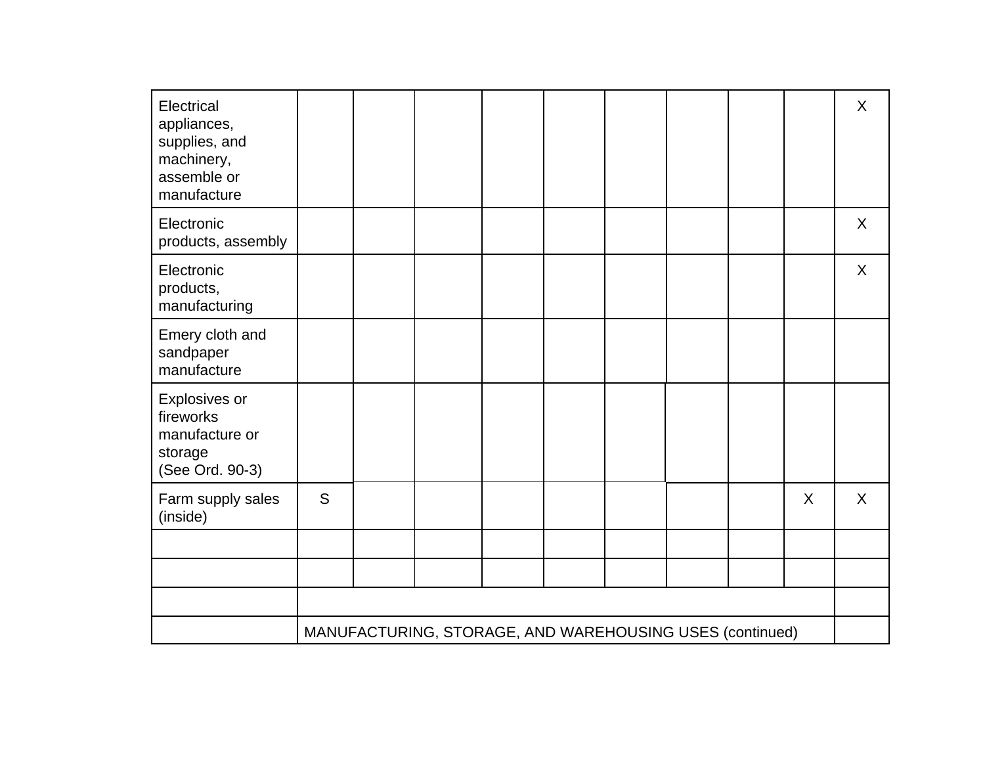| Electrical<br>appliances,<br>supplies, and<br>machinery,<br>assemble or<br>manufacture |   |                                                          |  |  |   | X |
|----------------------------------------------------------------------------------------|---|----------------------------------------------------------|--|--|---|---|
| Electronic<br>products, assembly                                                       |   |                                                          |  |  |   | X |
| Electronic<br>products,<br>manufacturing                                               |   |                                                          |  |  |   | X |
| Emery cloth and<br>sandpaper<br>manufacture                                            |   |                                                          |  |  |   |   |
| Explosives or<br>fireworks<br>manufacture or<br>storage<br>(See Ord. 90-3)             |   |                                                          |  |  |   |   |
| Farm supply sales<br>(inside)                                                          | S |                                                          |  |  | X | X |
|                                                                                        |   |                                                          |  |  |   |   |
|                                                                                        |   |                                                          |  |  |   |   |
|                                                                                        |   |                                                          |  |  |   |   |
|                                                                                        |   | MANUFACTURING, STORAGE, AND WAREHOUSING USES (continued) |  |  |   |   |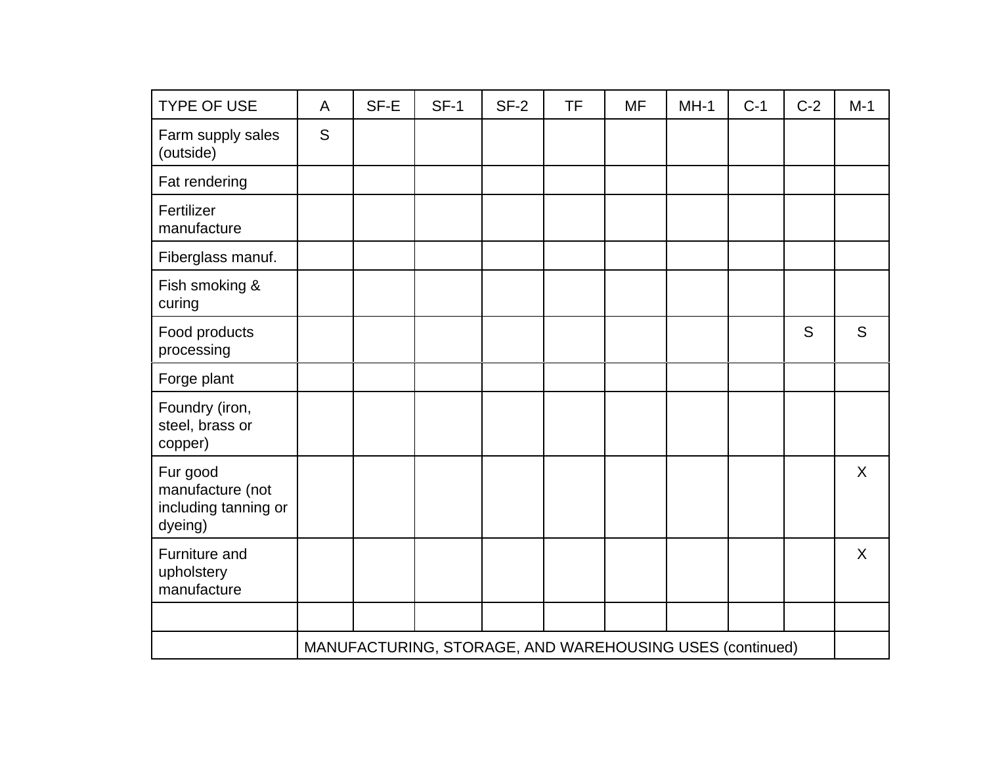| <b>TYPE OF USE</b>                                              | A | SF-E | $SF-1$                                                   | $SF-2$ | <b>TF</b> | <b>MF</b> | $MH-1$ | $C-1$ | $C-2$ | $M-1$   |
|-----------------------------------------------------------------|---|------|----------------------------------------------------------|--------|-----------|-----------|--------|-------|-------|---------|
| Farm supply sales<br>(outside)                                  | S |      |                                                          |        |           |           |        |       |       |         |
| Fat rendering                                                   |   |      |                                                          |        |           |           |        |       |       |         |
| Fertilizer<br>manufacture                                       |   |      |                                                          |        |           |           |        |       |       |         |
| Fiberglass manuf.                                               |   |      |                                                          |        |           |           |        |       |       |         |
| Fish smoking &<br>curing                                        |   |      |                                                          |        |           |           |        |       |       |         |
| Food products<br>processing                                     |   |      |                                                          |        |           |           |        |       | S     | S       |
| Forge plant                                                     |   |      |                                                          |        |           |           |        |       |       |         |
| Foundry (iron,<br>steel, brass or<br>copper)                    |   |      |                                                          |        |           |           |        |       |       |         |
| Fur good<br>manufacture (not<br>including tanning or<br>dyeing) |   |      |                                                          |        |           |           |        |       |       | $\sf X$ |
| Furniture and<br>upholstery<br>manufacture                      |   |      |                                                          |        |           |           |        |       |       | X       |
|                                                                 |   |      |                                                          |        |           |           |        |       |       |         |
|                                                                 |   |      | MANUFACTURING, STORAGE, AND WAREHOUSING USES (continued) |        |           |           |        |       |       |         |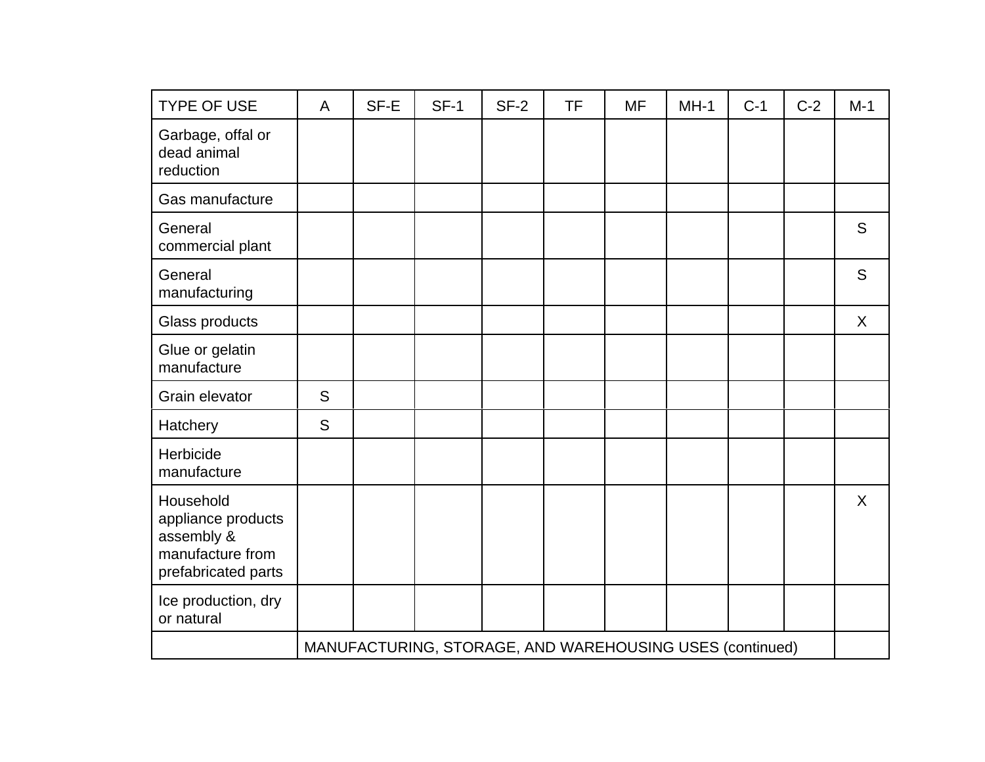| <b>TYPE OF USE</b>                                                                       | A | SF-E | $SF-1$                                                   | $SF-2$ | <b>TF</b> | <b>MF</b> | $MH-1$ | $C-1$ | $C-2$ | $M-1$ |
|------------------------------------------------------------------------------------------|---|------|----------------------------------------------------------|--------|-----------|-----------|--------|-------|-------|-------|
| Garbage, offal or<br>dead animal<br>reduction                                            |   |      |                                                          |        |           |           |        |       |       |       |
| Gas manufacture                                                                          |   |      |                                                          |        |           |           |        |       |       |       |
| General<br>commercial plant                                                              |   |      |                                                          |        |           |           |        |       |       | S     |
| General<br>manufacturing                                                                 |   |      |                                                          |        |           |           |        |       |       | S     |
| Glass products                                                                           |   |      |                                                          |        |           |           |        |       |       | X     |
| Glue or gelatin<br>manufacture                                                           |   |      |                                                          |        |           |           |        |       |       |       |
| Grain elevator                                                                           | S |      |                                                          |        |           |           |        |       |       |       |
| Hatchery                                                                                 | S |      |                                                          |        |           |           |        |       |       |       |
| Herbicide<br>manufacture                                                                 |   |      |                                                          |        |           |           |        |       |       |       |
| Household<br>appliance products<br>assembly &<br>manufacture from<br>prefabricated parts |   |      |                                                          |        |           |           |        |       |       | X     |
| Ice production, dry<br>or natural                                                        |   |      |                                                          |        |           |           |        |       |       |       |
|                                                                                          |   |      | MANUFACTURING, STORAGE, AND WAREHOUSING USES (continued) |        |           |           |        |       |       |       |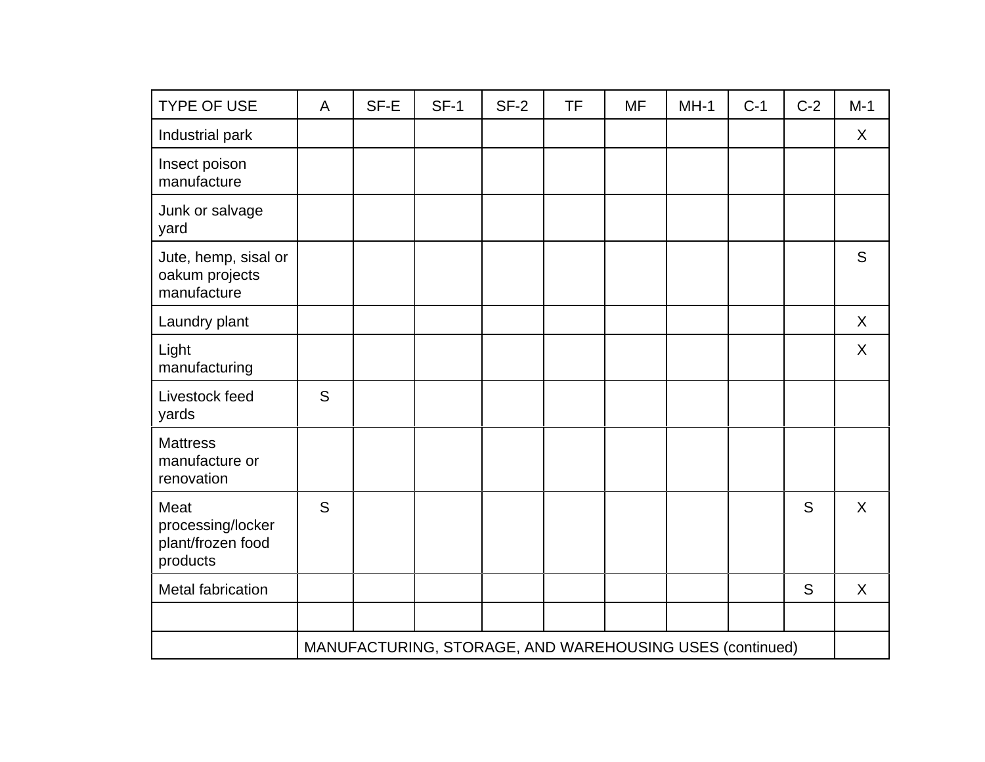| <b>TYPE OF USE</b>                                         | A | SF-E | <b>SF-1</b>                                              | $SF-2$ | <b>TF</b> | <b>MF</b> | $MH-1$ | $C-1$ | $C-2$ | $M-1$   |
|------------------------------------------------------------|---|------|----------------------------------------------------------|--------|-----------|-----------|--------|-------|-------|---------|
| Industrial park                                            |   |      |                                                          |        |           |           |        |       |       | X       |
| Insect poison<br>manufacture                               |   |      |                                                          |        |           |           |        |       |       |         |
| Junk or salvage<br>yard                                    |   |      |                                                          |        |           |           |        |       |       |         |
| Jute, hemp, sisal or<br>oakum projects<br>manufacture      |   |      |                                                          |        |           |           |        |       |       | S       |
| Laundry plant                                              |   |      |                                                          |        |           |           |        |       |       | X       |
| Light<br>manufacturing                                     |   |      |                                                          |        |           |           |        |       |       | X       |
| Livestock feed<br>yards                                    | S |      |                                                          |        |           |           |        |       |       |         |
| <b>Mattress</b><br>manufacture or<br>renovation            |   |      |                                                          |        |           |           |        |       |       |         |
| Meat<br>processing/locker<br>plant/frozen food<br>products | S |      |                                                          |        |           |           |        |       | S     | $\sf X$ |
| <b>Metal fabrication</b>                                   |   |      |                                                          |        |           |           |        |       | S     | X       |
|                                                            |   |      |                                                          |        |           |           |        |       |       |         |
|                                                            |   |      | MANUFACTURING, STORAGE, AND WAREHOUSING USES (continued) |        |           |           |        |       |       |         |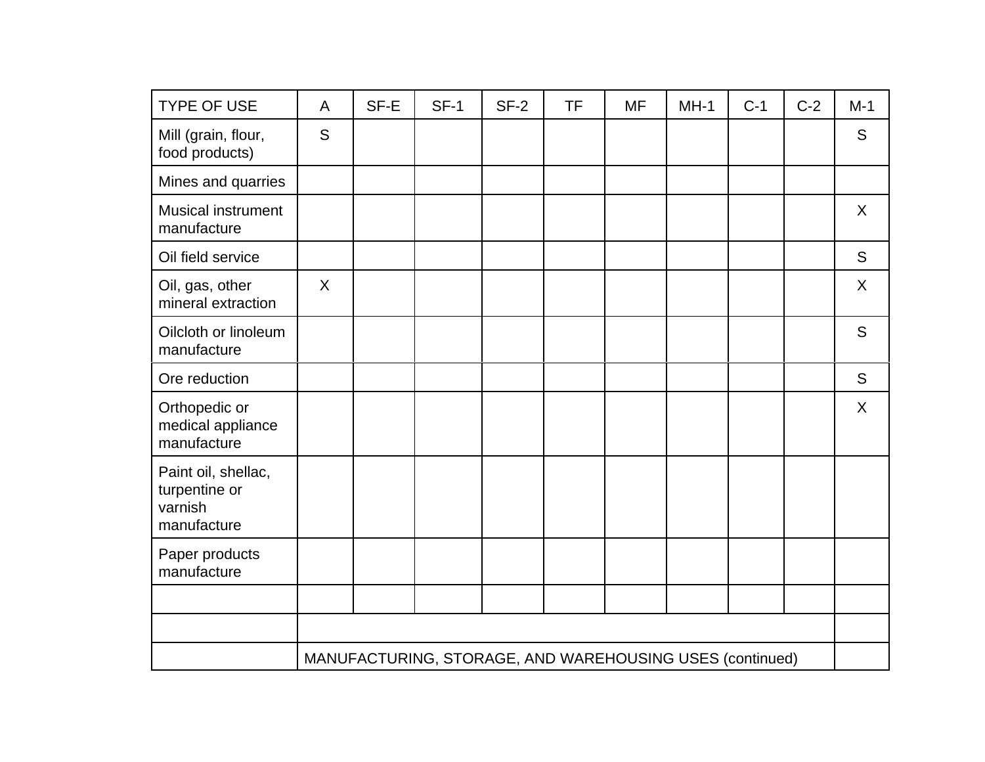| <b>TYPE OF USE</b>                                             | A | SF-E | $SF-1$                                                   | $SF-2$ | <b>TF</b> | <b>MF</b> | $MH-1$ | $C-1$ | $C-2$ | $M-1$   |
|----------------------------------------------------------------|---|------|----------------------------------------------------------|--------|-----------|-----------|--------|-------|-------|---------|
| Mill (grain, flour,<br>food products)                          | S |      |                                                          |        |           |           |        |       |       | S       |
| Mines and quarries                                             |   |      |                                                          |        |           |           |        |       |       |         |
| <b>Musical instrument</b><br>manufacture                       |   |      |                                                          |        |           |           |        |       |       | X       |
| Oil field service                                              |   |      |                                                          |        |           |           |        |       |       | S       |
| Oil, gas, other<br>mineral extraction                          | X |      |                                                          |        |           |           |        |       |       | X       |
| Oilcloth or linoleum<br>manufacture                            |   |      |                                                          |        |           |           |        |       |       | S       |
| Ore reduction                                                  |   |      |                                                          |        |           |           |        |       |       | S       |
| Orthopedic or<br>medical appliance<br>manufacture              |   |      |                                                          |        |           |           |        |       |       | $\sf X$ |
| Paint oil, shellac,<br>turpentine or<br>varnish<br>manufacture |   |      |                                                          |        |           |           |        |       |       |         |
| Paper products<br>manufacture                                  |   |      |                                                          |        |           |           |        |       |       |         |
|                                                                |   |      |                                                          |        |           |           |        |       |       |         |
|                                                                |   |      |                                                          |        |           |           |        |       |       |         |
|                                                                |   |      | MANUFACTURING, STORAGE, AND WAREHOUSING USES (continued) |        |           |           |        |       |       |         |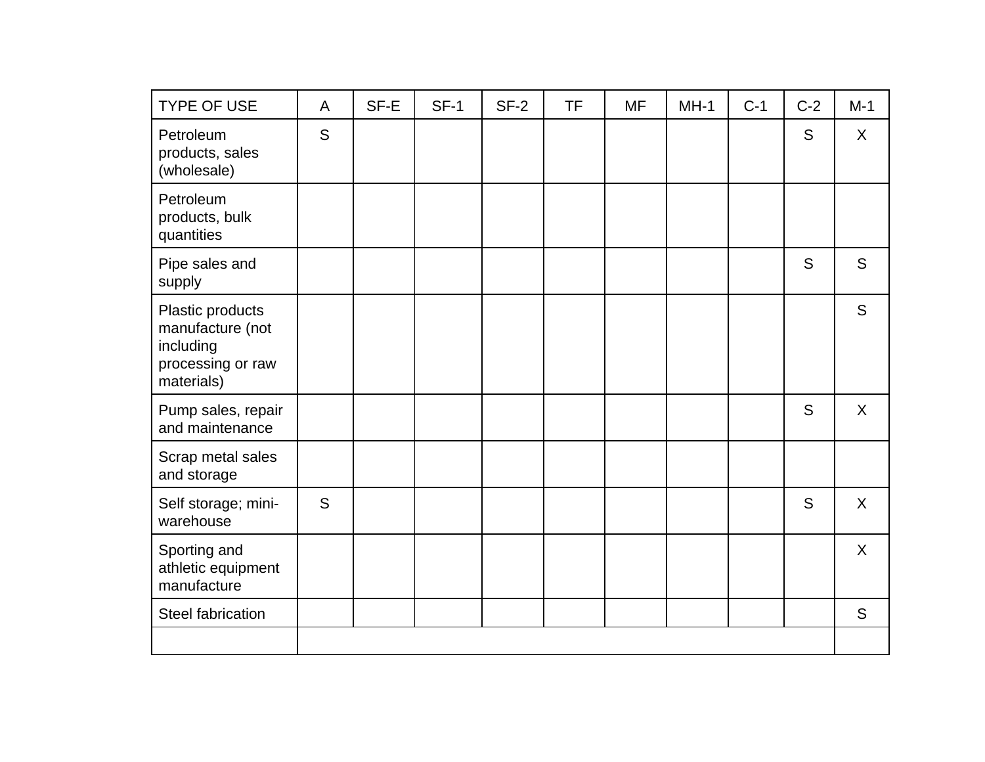| <b>TYPE OF USE</b>                                                                   | A | SF-E | $SF-1$ | $SF-2$ | <b>TF</b> | <b>MF</b> | $MH-1$ | $C-1$ | $C-2$ | $M-1$   |
|--------------------------------------------------------------------------------------|---|------|--------|--------|-----------|-----------|--------|-------|-------|---------|
| Petroleum<br>products, sales<br>(wholesale)                                          | S |      |        |        |           |           |        |       | S     | X       |
| Petroleum<br>products, bulk<br>quantities                                            |   |      |        |        |           |           |        |       |       |         |
| Pipe sales and<br>supply                                                             |   |      |        |        |           |           |        |       | S     | S       |
| Plastic products<br>manufacture (not<br>including<br>processing or raw<br>materials) |   |      |        |        |           |           |        |       |       | S       |
| Pump sales, repair<br>and maintenance                                                |   |      |        |        |           |           |        |       | S     | $\sf X$ |
| Scrap metal sales<br>and storage                                                     |   |      |        |        |           |           |        |       |       |         |
| Self storage; mini-<br>warehouse                                                     | S |      |        |        |           |           |        |       | S     | X       |
| Sporting and<br>athletic equipment<br>manufacture                                    |   |      |        |        |           |           |        |       |       | X       |
| <b>Steel fabrication</b>                                                             |   |      |        |        |           |           |        |       |       | S       |
|                                                                                      |   |      |        |        |           |           |        |       |       |         |